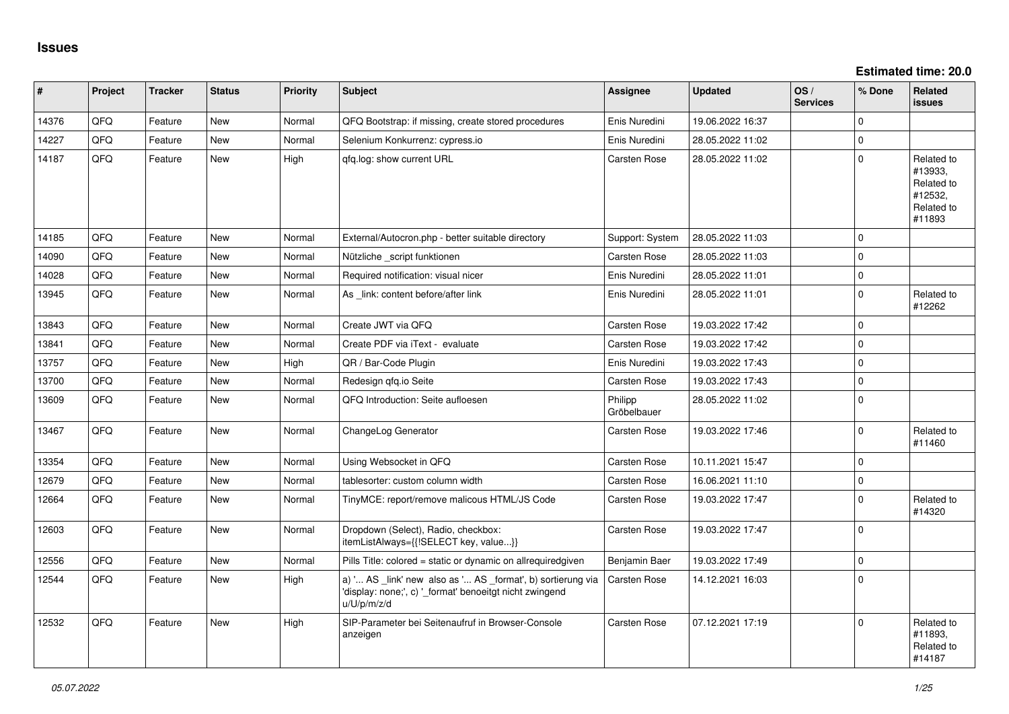**Estimated time: 20.0**

| #     | Project | <b>Tracker</b> | <b>Status</b> | <b>Priority</b> | <b>Subject</b>                                                                                                                        | Assignee               | <b>Updated</b>   | OS/<br><b>Services</b> | % Done      | Related<br><b>issues</b>                                               |
|-------|---------|----------------|---------------|-----------------|---------------------------------------------------------------------------------------------------------------------------------------|------------------------|------------------|------------------------|-------------|------------------------------------------------------------------------|
| 14376 | QFQ     | Feature        | <b>New</b>    | Normal          | QFQ Bootstrap: if missing, create stored procedures                                                                                   | Enis Nuredini          | 19.06.2022 16:37 |                        | $\Omega$    |                                                                        |
| 14227 | QFQ     | Feature        | <b>New</b>    | Normal          | Selenium Konkurrenz: cypress.io                                                                                                       | Enis Nuredini          | 28.05.2022 11:02 |                        | $\mathbf 0$ |                                                                        |
| 14187 | QFQ     | Feature        | New           | High            | gfg.log: show current URL                                                                                                             | <b>Carsten Rose</b>    | 28.05.2022 11:02 |                        | $\Omega$    | Related to<br>#13933,<br>Related to<br>#12532,<br>Related to<br>#11893 |
| 14185 | QFQ     | Feature        | New           | Normal          | External/Autocron.php - better suitable directory                                                                                     | Support: System        | 28.05.2022 11:03 |                        | $\mathbf 0$ |                                                                        |
| 14090 | QFQ     | Feature        | <b>New</b>    | Normal          | Nützliche _script funktionen                                                                                                          | Carsten Rose           | 28.05.2022 11:03 |                        | $\mathbf 0$ |                                                                        |
| 14028 | QFQ     | Feature        | <b>New</b>    | Normal          | Required notification: visual nicer                                                                                                   | Enis Nuredini          | 28.05.2022 11:01 |                        | $\Omega$    |                                                                        |
| 13945 | QFQ     | Feature        | New           | Normal          | As link: content before/after link                                                                                                    | Enis Nuredini          | 28.05.2022 11:01 |                        | $\mathbf 0$ | Related to<br>#12262                                                   |
| 13843 | QFQ     | Feature        | <b>New</b>    | Normal          | Create JWT via QFQ                                                                                                                    | Carsten Rose           | 19.03.2022 17:42 |                        | $\mathbf 0$ |                                                                        |
| 13841 | QFQ     | Feature        | <b>New</b>    | Normal          | Create PDF via iText - evaluate                                                                                                       | <b>Carsten Rose</b>    | 19.03.2022 17:42 |                        | $\mathbf 0$ |                                                                        |
| 13757 | QFQ     | Feature        | <b>New</b>    | High            | QR / Bar-Code Plugin                                                                                                                  | Enis Nuredini          | 19.03.2022 17:43 |                        | $\mathbf 0$ |                                                                        |
| 13700 | QFQ     | Feature        | New           | Normal          | Redesign gfg.io Seite                                                                                                                 | Carsten Rose           | 19.03.2022 17:43 |                        | $\mathbf 0$ |                                                                        |
| 13609 | QFQ     | Feature        | New           | Normal          | QFQ Introduction: Seite aufloesen                                                                                                     | Philipp<br>Gröbelbauer | 28.05.2022 11:02 |                        | $\mathbf 0$ |                                                                        |
| 13467 | QFQ     | Feature        | <b>New</b>    | Normal          | ChangeLog Generator                                                                                                                   | Carsten Rose           | 19.03.2022 17:46 |                        | $\mathbf 0$ | Related to<br>#11460                                                   |
| 13354 | QFQ     | Feature        | <b>New</b>    | Normal          | Using Websocket in QFQ                                                                                                                | Carsten Rose           | 10.11.2021 15:47 |                        | $\mathbf 0$ |                                                                        |
| 12679 | QFQ     | Feature        | New           | Normal          | tablesorter: custom column width                                                                                                      | Carsten Rose           | 16.06.2021 11:10 |                        | $\Omega$    |                                                                        |
| 12664 | QFQ     | Feature        | <b>New</b>    | Normal          | TinyMCE: report/remove malicous HTML/JS Code                                                                                          | Carsten Rose           | 19.03.2022 17:47 |                        | $\mathbf 0$ | Related to<br>#14320                                                   |
| 12603 | QFQ     | Feature        | <b>New</b>    | Normal          | Dropdown (Select), Radio, checkbox:<br>itemListAlways={{!SELECT key, value}}                                                          | <b>Carsten Rose</b>    | 19.03.2022 17:47 |                        | $\mathbf 0$ |                                                                        |
| 12556 | QFQ     | Feature        | <b>New</b>    | Normal          | Pills Title: colored = static or dynamic on allrequiredgiven                                                                          | Benjamin Baer          | 19.03.2022 17:49 |                        | $\mathbf 0$ |                                                                        |
| 12544 | QFQ     | Feature        | New           | High            | a) ' AS _link' new also as ' AS _format', b) sortierung via<br>'display: none;', c) '_format' benoeitgt nicht zwingend<br>u/U/p/m/z/d | Carsten Rose           | 14.12.2021 16:03 |                        | $\mathbf 0$ |                                                                        |
| 12532 | QFQ     | Feature        | <b>New</b>    | High            | SIP-Parameter bei Seitenaufruf in Browser-Console<br>anzeigen                                                                         | Carsten Rose           | 07.12.2021 17:19 |                        | $\mathbf 0$ | Related to<br>#11893,<br>Related to<br>#14187                          |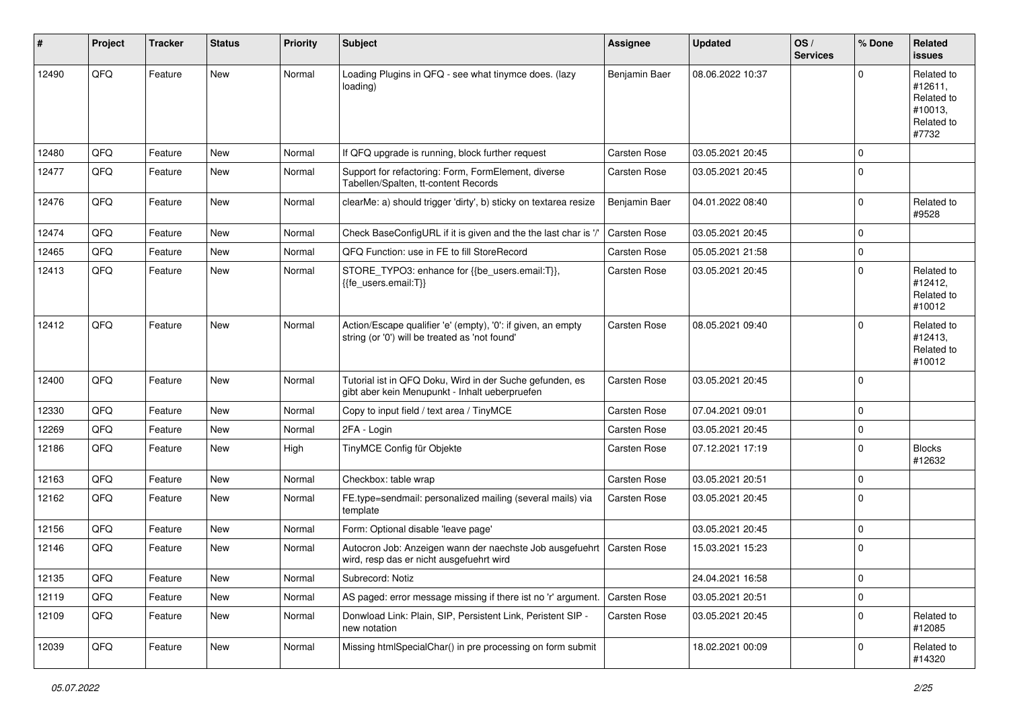| #     | Project | <b>Tracker</b> | <b>Status</b> | <b>Priority</b> | Subject                                                                                                        | <b>Assignee</b> | <b>Updated</b>   | OS/<br><b>Services</b> | % Done      | Related<br><b>issues</b>                                              |
|-------|---------|----------------|---------------|-----------------|----------------------------------------------------------------------------------------------------------------|-----------------|------------------|------------------------|-------------|-----------------------------------------------------------------------|
| 12490 | QFQ     | Feature        | New           | Normal          | Loading Plugins in QFQ - see what tinymce does. (lazy<br>loading)                                              | Benjamin Baer   | 08.06.2022 10:37 |                        | $\Omega$    | Related to<br>#12611,<br>Related to<br>#10013,<br>Related to<br>#7732 |
| 12480 | QFQ     | Feature        | <b>New</b>    | Normal          | If QFQ upgrade is running, block further request                                                               | Carsten Rose    | 03.05.2021 20:45 |                        | $\Omega$    |                                                                       |
| 12477 | QFQ     | Feature        | New           | Normal          | Support for refactoring: Form, FormElement, diverse<br>Tabellen/Spalten, tt-content Records                    | Carsten Rose    | 03.05.2021 20:45 |                        | $\Omega$    |                                                                       |
| 12476 | QFQ     | Feature        | <b>New</b>    | Normal          | clearMe: a) should trigger 'dirty', b) sticky on textarea resize                                               | Benjamin Baer   | 04.01.2022 08:40 |                        | $\Omega$    | Related to<br>#9528                                                   |
| 12474 | QFQ     | Feature        | <b>New</b>    | Normal          | Check BaseConfigURL if it is given and the the last char is '/'                                                | Carsten Rose    | 03.05.2021 20:45 |                        | $\Omega$    |                                                                       |
| 12465 | QFQ     | Feature        | New           | Normal          | QFQ Function: use in FE to fill StoreRecord                                                                    | Carsten Rose    | 05.05.2021 21:58 |                        | $\mathbf 0$ |                                                                       |
| 12413 | QFQ     | Feature        | New           | Normal          | STORE_TYPO3: enhance for {{be_users.email:T}},<br>{{fe_users.email:T}}                                         | Carsten Rose    | 03.05.2021 20:45 |                        | $\Omega$    | Related to<br>#12412,<br>Related to<br>#10012                         |
| 12412 | QFQ     | Feature        | <b>New</b>    | Normal          | Action/Escape qualifier 'e' (empty), '0': if given, an empty<br>string (or '0') will be treated as 'not found' | Carsten Rose    | 08.05.2021 09:40 |                        | $\Omega$    | Related to<br>#12413,<br>Related to<br>#10012                         |
| 12400 | QFQ     | Feature        | New           | Normal          | Tutorial ist in QFQ Doku, Wird in der Suche gefunden, es<br>gibt aber kein Menupunkt - Inhalt ueberpruefen     | Carsten Rose    | 03.05.2021 20:45 |                        | $\Omega$    |                                                                       |
| 12330 | QFQ     | Feature        | New           | Normal          | Copy to input field / text area / TinyMCE                                                                      | Carsten Rose    | 07.04.2021 09:01 |                        | 0           |                                                                       |
| 12269 | QFQ     | Feature        | New           | Normal          | 2FA - Login                                                                                                    | Carsten Rose    | 03.05.2021 20:45 |                        | $\mathbf 0$ |                                                                       |
| 12186 | QFQ     | Feature        | New           | High            | TinyMCE Config für Objekte                                                                                     | Carsten Rose    | 07.12.2021 17:19 |                        | $\Omega$    | <b>Blocks</b><br>#12632                                               |
| 12163 | QFQ     | Feature        | <b>New</b>    | Normal          | Checkbox: table wrap                                                                                           | Carsten Rose    | 03.05.2021 20:51 |                        | $\Omega$    |                                                                       |
| 12162 | QFQ     | Feature        | <b>New</b>    | Normal          | FE.type=sendmail: personalized mailing (several mails) via<br>template                                         | Carsten Rose    | 03.05.2021 20:45 |                        | $\Omega$    |                                                                       |
| 12156 | QFQ     | Feature        | <b>New</b>    | Normal          | Form: Optional disable 'leave page'                                                                            |                 | 03.05.2021 20:45 |                        | $\mathbf 0$ |                                                                       |
| 12146 | QFQ     | Feature        | <b>New</b>    | Normal          | Autocron Job: Anzeigen wann der naechste Job ausgefuehrt<br>wird, resp das er nicht ausgefuehrt wird           | Carsten Rose    | 15.03.2021 15:23 |                        | $\mathbf 0$ |                                                                       |
| 12135 | QFQ     | Feature        | New           | Normal          | Subrecord: Notiz                                                                                               |                 | 24.04.2021 16:58 |                        | 0           |                                                                       |
| 12119 | QFQ     | Feature        | New           | Normal          | AS paged: error message missing if there ist no 'r' argument.                                                  | Carsten Rose    | 03.05.2021 20:51 |                        | 0           |                                                                       |
| 12109 | QFQ     | Feature        | New           | Normal          | Donwload Link: Plain, SIP, Persistent Link, Peristent SIP -<br>new notation                                    | Carsten Rose    | 03.05.2021 20:45 |                        | $\mathbf 0$ | Related to<br>#12085                                                  |
| 12039 | QFQ     | Feature        | New           | Normal          | Missing htmlSpecialChar() in pre processing on form submit                                                     |                 | 18.02.2021 00:09 |                        | 0           | Related to<br>#14320                                                  |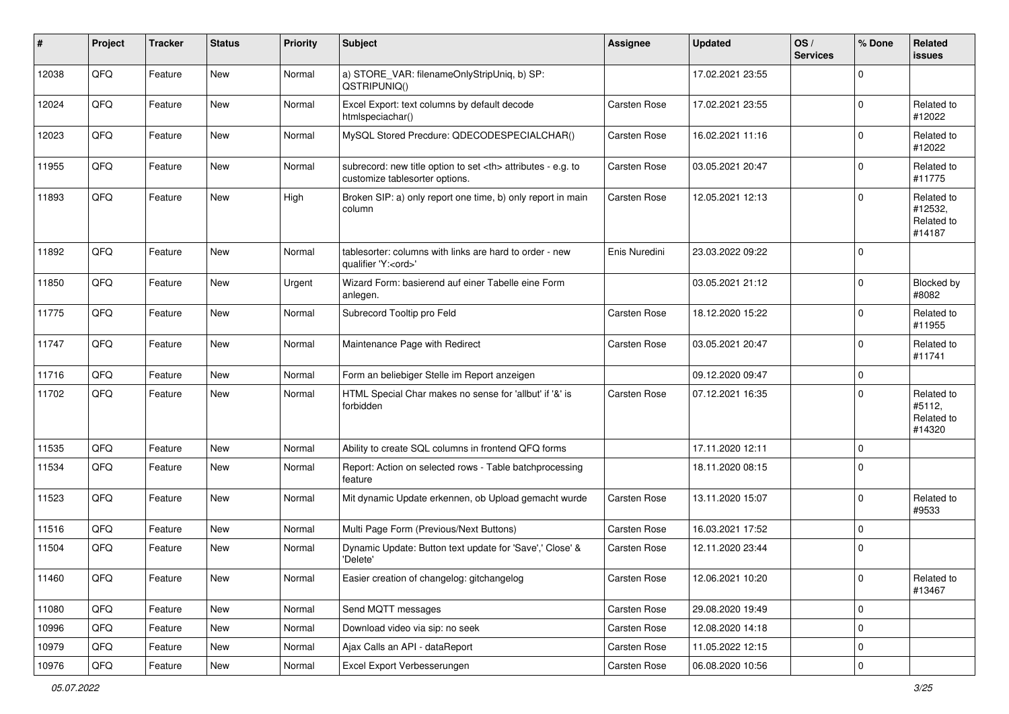| #     | Project | <b>Tracker</b> | <b>Status</b> | <b>Priority</b> | Subject                                                                                              | <b>Assignee</b>                                        | <b>Updated</b>   | OS/<br><b>Services</b> | % Done      | Related<br><b>issues</b>                      |                      |
|-------|---------|----------------|---------------|-----------------|------------------------------------------------------------------------------------------------------|--------------------------------------------------------|------------------|------------------------|-------------|-----------------------------------------------|----------------------|
| 12038 | QFQ     | Feature        | New           | Normal          | a) STORE_VAR: filenameOnlyStripUniq, b) SP:<br>QSTRIPUNIQ()                                          |                                                        | 17.02.2021 23:55 |                        | $\Omega$    |                                               |                      |
| 12024 | QFQ     | Feature        | New           | Normal          | Excel Export: text columns by default decode<br>htmlspeciachar()                                     | Carsten Rose                                           | 17.02.2021 23:55 |                        | $\Omega$    | Related to<br>#12022                          |                      |
| 12023 | QFQ     | Feature        | New           | Normal          | MySQL Stored Precdure: QDECODESPECIALCHAR()                                                          | Carsten Rose                                           | 16.02.2021 11:16 |                        | $\Omega$    | Related to<br>#12022                          |                      |
| 11955 | QFQ     | Feature        | New           | Normal          | subrecord: new title option to set <th> attributes - e.g. to<br/>customize tablesorter options.</th> | attributes - e.g. to<br>customize tablesorter options. | Carsten Rose     | 03.05.2021 20:47       |             | $\mathbf 0$                                   | Related to<br>#11775 |
| 11893 | QFQ     | Feature        | New           | High            | Broken SIP: a) only report one time, b) only report in main<br>column                                | Carsten Rose                                           | 12.05.2021 12:13 |                        | $\Omega$    | Related to<br>#12532,<br>Related to<br>#14187 |                      |
| 11892 | QFQ     | Feature        | New           | Normal          | tablesorter: columns with links are hard to order - new<br>qualifier 'Y: <ord>'</ord>                | Enis Nuredini                                          | 23.03.2022 09:22 |                        | $\Omega$    |                                               |                      |
| 11850 | QFQ     | Feature        | New           | Urgent          | Wizard Form: basierend auf einer Tabelle eine Form<br>anlegen.                                       |                                                        | 03.05.2021 21:12 |                        | 0           | Blocked by<br>#8082                           |                      |
| 11775 | QFQ     | Feature        | New           | Normal          | Subrecord Tooltip pro Feld                                                                           | Carsten Rose                                           | 18.12.2020 15:22 |                        | $\mathbf 0$ | Related to<br>#11955                          |                      |
| 11747 | QFQ     | Feature        | New           | Normal          | Maintenance Page with Redirect                                                                       | Carsten Rose                                           | 03.05.2021 20:47 |                        | $\Omega$    | Related to<br>#11741                          |                      |
| 11716 | QFQ     | Feature        | New           | Normal          | Form an beliebiger Stelle im Report anzeigen                                                         |                                                        | 09.12.2020 09:47 |                        | 0           |                                               |                      |
| 11702 | QFQ     | Feature        | New           | Normal          | HTML Special Char makes no sense for 'allbut' if '&' is<br>forbidden                                 | Carsten Rose                                           | 07.12.2021 16:35 |                        | $\Omega$    | Related to<br>#5112,<br>Related to<br>#14320  |                      |
| 11535 | QFQ     | Feature        | New           | Normal          | Ability to create SQL columns in frontend QFQ forms                                                  |                                                        | 17.11.2020 12:11 |                        | $\mathbf 0$ |                                               |                      |
| 11534 | QFQ     | Feature        | New           | Normal          | Report: Action on selected rows - Table batchprocessing<br>feature                                   |                                                        | 18.11.2020 08:15 |                        | $\Omega$    |                                               |                      |
| 11523 | QFQ     | Feature        | New           | Normal          | Mit dynamic Update erkennen, ob Upload gemacht wurde                                                 | Carsten Rose                                           | 13.11.2020 15:07 |                        | $\Omega$    | Related to<br>#9533                           |                      |
| 11516 | QFQ     | Feature        | New           | Normal          | Multi Page Form (Previous/Next Buttons)                                                              | Carsten Rose                                           | 16.03.2021 17:52 |                        | $\mathbf 0$ |                                               |                      |
| 11504 | QFQ     | Feature        | New           | Normal          | Dynamic Update: Button text update for 'Save',' Close' &<br>'Delete'                                 | Carsten Rose                                           | 12.11.2020 23:44 |                        | $\mathbf 0$ |                                               |                      |
| 11460 | QFQ     | Feature        | New           | Normal          | Easier creation of changelog: gitchangelog                                                           | Carsten Rose                                           | 12.06.2021 10:20 |                        | 0           | Related to<br>#13467                          |                      |
| 11080 | QFQ     | Feature        | New           | Normal          | Send MQTT messages                                                                                   | Carsten Rose                                           | 29.08.2020 19:49 |                        | 0           |                                               |                      |
| 10996 | QFQ     | Feature        | New           | Normal          | Download video via sip: no seek                                                                      | Carsten Rose                                           | 12.08.2020 14:18 |                        | 0           |                                               |                      |
| 10979 | QFQ     | Feature        | New           | Normal          | Ajax Calls an API - dataReport                                                                       | Carsten Rose                                           | 11.05.2022 12:15 |                        | 0           |                                               |                      |
| 10976 | QFQ     | Feature        | New           | Normal          | Excel Export Verbesserungen                                                                          | Carsten Rose                                           | 06.08.2020 10:56 |                        | $\pmb{0}$   |                                               |                      |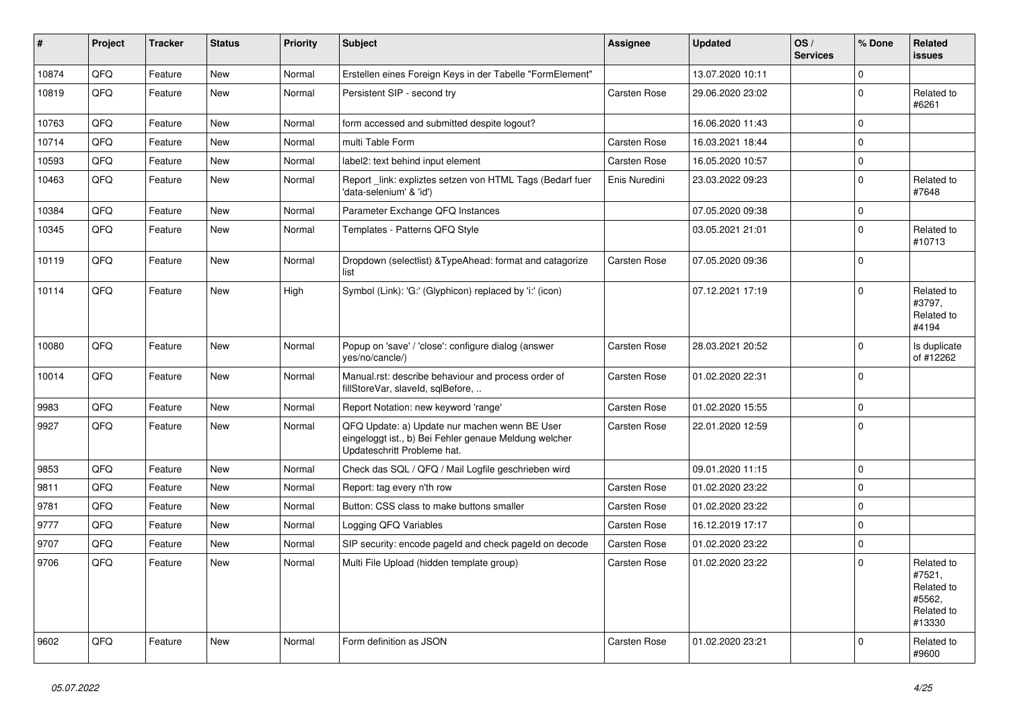| $\#$  | Project | <b>Tracker</b> | <b>Status</b> | <b>Priority</b> | <b>Subject</b>                                                                                                                        | <b>Assignee</b>     | <b>Updated</b>   | OS/<br><b>Services</b> | % Done      | Related<br>issues                                                    |
|-------|---------|----------------|---------------|-----------------|---------------------------------------------------------------------------------------------------------------------------------------|---------------------|------------------|------------------------|-------------|----------------------------------------------------------------------|
| 10874 | QFQ     | Feature        | <b>New</b>    | Normal          | Erstellen eines Foreign Keys in der Tabelle "FormElement"                                                                             |                     | 13.07.2020 10:11 |                        | 0           |                                                                      |
| 10819 | QFQ     | Feature        | New           | Normal          | Persistent SIP - second try                                                                                                           | Carsten Rose        | 29.06.2020 23:02 |                        | $\Omega$    | Related to<br>#6261                                                  |
| 10763 | QFQ     | Feature        | <b>New</b>    | Normal          | form accessed and submitted despite logout?                                                                                           |                     | 16.06.2020 11:43 |                        | $\Omega$    |                                                                      |
| 10714 | QFQ     | Feature        | <b>New</b>    | Normal          | multi Table Form                                                                                                                      | Carsten Rose        | 16.03.2021 18:44 |                        | 0           |                                                                      |
| 10593 | QFQ     | Feature        | New           | Normal          | label2: text behind input element                                                                                                     | Carsten Rose        | 16.05.2020 10:57 |                        | $\Omega$    |                                                                      |
| 10463 | QFQ     | Feature        | New           | Normal          | Report _link: expliztes setzen von HTML Tags (Bedarf fuer<br>'data-selenium' & 'id')                                                  | Enis Nuredini       | 23.03.2022 09:23 |                        | 0           | Related to<br>#7648                                                  |
| 10384 | QFQ     | Feature        | New           | Normal          | Parameter Exchange QFQ Instances                                                                                                      |                     | 07.05.2020 09:38 |                        | $\Omega$    |                                                                      |
| 10345 | QFQ     | Feature        | New           | Normal          | Templates - Patterns QFQ Style                                                                                                        |                     | 03.05.2021 21:01 |                        | $\Omega$    | Related to<br>#10713                                                 |
| 10119 | QFQ     | Feature        | <b>New</b>    | Normal          | Dropdown (selectlist) & TypeAhead: format and catagorize<br>list                                                                      | Carsten Rose        | 07.05.2020 09:36 |                        | $\Omega$    |                                                                      |
| 10114 | QFQ     | Feature        | New           | High            | Symbol (Link): 'G:' (Glyphicon) replaced by 'i:' (icon)                                                                               |                     | 07.12.2021 17:19 |                        | $\Omega$    | Related to<br>#3797,<br>Related to<br>#4194                          |
| 10080 | QFQ     | Feature        | <b>New</b>    | Normal          | Popup on 'save' / 'close': configure dialog (answer<br>yes/no/cancle/)                                                                | Carsten Rose        | 28.03.2021 20:52 |                        | $\Omega$    | Is duplicate<br>of #12262                                            |
| 10014 | QFQ     | Feature        | New           | Normal          | Manual.rst: describe behaviour and process order of<br>fillStoreVar, slaveId, sqlBefore,                                              | Carsten Rose        | 01.02.2020 22:31 |                        | $\Omega$    |                                                                      |
| 9983  | QFQ     | Feature        | New           | Normal          | Report Notation: new keyword 'range'                                                                                                  | Carsten Rose        | 01.02.2020 15:55 |                        | $\Omega$    |                                                                      |
| 9927  | QFQ     | Feature        | New           | Normal          | QFQ Update: a) Update nur machen wenn BE User<br>eingeloggt ist., b) Bei Fehler genaue Meldung welcher<br>Updateschritt Probleme hat. | Carsten Rose        | 22.01.2020 12:59 |                        | $\Omega$    |                                                                      |
| 9853  | QFQ     | Feature        | New           | Normal          | Check das SQL / QFQ / Mail Logfile geschrieben wird                                                                                   |                     | 09.01.2020 11:15 |                        | 0           |                                                                      |
| 9811  | QFQ     | Feature        | New           | Normal          | Report: tag every n'th row                                                                                                            | Carsten Rose        | 01.02.2020 23:22 |                        | 0           |                                                                      |
| 9781  | QFQ     | Feature        | New           | Normal          | Button: CSS class to make buttons smaller                                                                                             | Carsten Rose        | 01.02.2020 23:22 |                        | 0           |                                                                      |
| 9777  | QFQ     | Feature        | New           | Normal          | Logging QFQ Variables                                                                                                                 | Carsten Rose        | 16.12.2019 17:17 |                        | $\Omega$    |                                                                      |
| 9707  | QFQ     | Feature        | New           | Normal          | SIP security: encode pageld and check pageld on decode                                                                                | Carsten Rose        | 01.02.2020 23:22 |                        | $\mathbf 0$ |                                                                      |
| 9706  | QFQ     | Feature        | New           | Normal          | Multi File Upload (hidden template group)                                                                                             | Carsten Rose        | 01.02.2020 23:22 |                        | $\Omega$    | Related to<br>#7521,<br>Related to<br>#5562.<br>Related to<br>#13330 |
| 9602  | QFQ     | Feature        | New           | Normal          | Form definition as JSON                                                                                                               | <b>Carsten Rose</b> | 01.02.2020 23:21 |                        | $\Omega$    | Related to<br>#9600                                                  |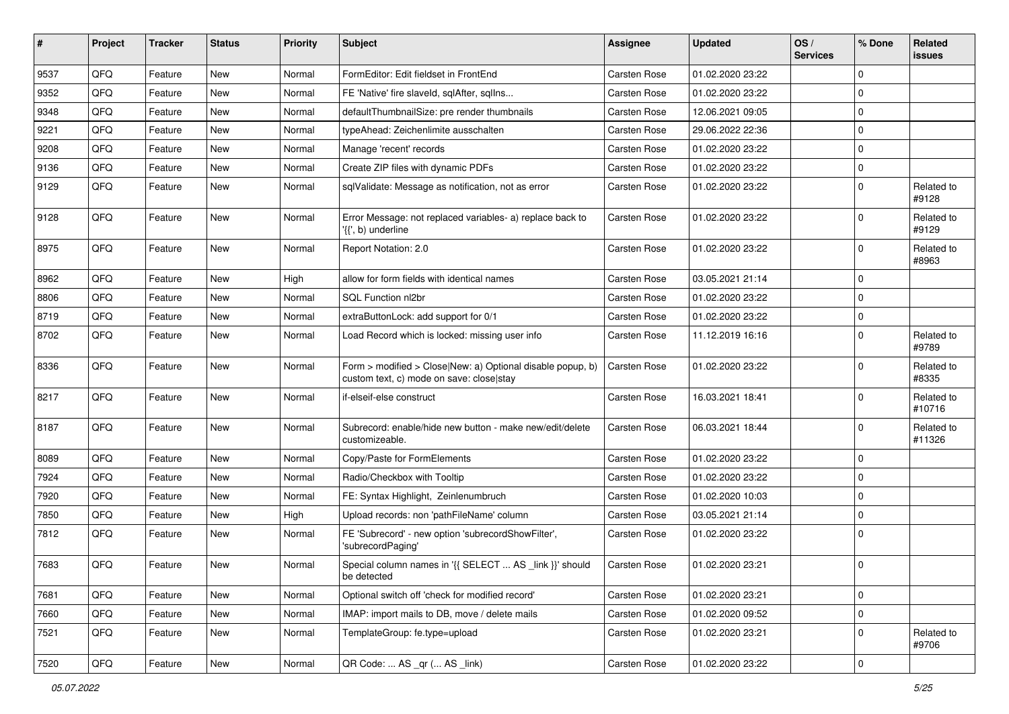| $\sharp$ | Project | <b>Tracker</b> | <b>Status</b> | <b>Priority</b> | <b>Subject</b>                                                                                         | Assignee     | <b>Updated</b>   | OS/<br><b>Services</b> | % Done      | <b>Related</b><br>issues |
|----------|---------|----------------|---------------|-----------------|--------------------------------------------------------------------------------------------------------|--------------|------------------|------------------------|-------------|--------------------------|
| 9537     | QFQ     | Feature        | <b>New</b>    | Normal          | FormEditor: Edit fieldset in FrontEnd                                                                  | Carsten Rose | 01.02.2020 23:22 |                        | $\Omega$    |                          |
| 9352     | QFQ     | Feature        | New           | Normal          | FE 'Native' fire slaveld, sqlAfter, sqllns                                                             | Carsten Rose | 01.02.2020 23:22 |                        | $\mathbf 0$ |                          |
| 9348     | QFQ     | Feature        | New           | Normal          | defaultThumbnailSize: pre render thumbnails                                                            | Carsten Rose | 12.06.2021 09:05 |                        | $\Omega$    |                          |
| 9221     | QFQ     | Feature        | New           | Normal          | typeAhead: Zeichenlimite ausschalten                                                                   | Carsten Rose | 29.06.2022 22:36 |                        | 0           |                          |
| 9208     | QFQ     | Feature        | New           | Normal          | Manage 'recent' records                                                                                | Carsten Rose | 01.02.2020 23:22 |                        | $\mathbf 0$ |                          |
| 9136     | QFQ     | Feature        | <b>New</b>    | Normal          | Create ZIP files with dynamic PDFs                                                                     | Carsten Rose | 01.02.2020 23:22 |                        | $\mathbf 0$ |                          |
| 9129     | QFQ     | Feature        | New           | Normal          | sqlValidate: Message as notification, not as error                                                     | Carsten Rose | 01.02.2020 23:22 |                        | 0           | Related to<br>#9128      |
| 9128     | QFQ     | Feature        | New           | Normal          | Error Message: not replaced variables- a) replace back to<br>'{{', b) underline                        | Carsten Rose | 01.02.2020 23:22 |                        | $\Omega$    | Related to<br>#9129      |
| 8975     | QFQ     | Feature        | New           | Normal          | Report Notation: 2.0                                                                                   | Carsten Rose | 01.02.2020 23:22 |                        | 0           | Related to<br>#8963      |
| 8962     | QFQ     | Feature        | <b>New</b>    | High            | allow for form fields with identical names                                                             | Carsten Rose | 03.05.2021 21:14 |                        | $\Omega$    |                          |
| 8806     | QFQ     | Feature        | New           | Normal          | SQL Function nl2br                                                                                     | Carsten Rose | 01.02.2020 23:22 |                        | $\Omega$    |                          |
| 8719     | QFQ     | Feature        | New           | Normal          | extraButtonLock: add support for 0/1                                                                   | Carsten Rose | 01.02.2020 23:22 |                        | 0           |                          |
| 8702     | QFQ     | Feature        | New           | Normal          | Load Record which is locked: missing user info                                                         | Carsten Rose | 11.12.2019 16:16 |                        | $\mathbf 0$ | Related to<br>#9789      |
| 8336     | QFQ     | Feature        | <b>New</b>    | Normal          | Form > modified > Close New: a) Optional disable popup, b)<br>custom text, c) mode on save: close stay | Carsten Rose | 01.02.2020 23:22 |                        | $\mathbf 0$ | Related to<br>#8335      |
| 8217     | QFQ     | Feature        | <b>New</b>    | Normal          | if-elseif-else construct                                                                               | Carsten Rose | 16.03.2021 18:41 |                        | 0           | Related to<br>#10716     |
| 8187     | QFQ     | Feature        | New           | Normal          | Subrecord: enable/hide new button - make new/edit/delete<br>customizeable.                             | Carsten Rose | 06.03.2021 18:44 |                        | $\mathbf 0$ | Related to<br>#11326     |
| 8089     | QFQ     | Feature        | <b>New</b>    | Normal          | Copy/Paste for FormElements                                                                            | Carsten Rose | 01.02.2020 23:22 |                        | $\mathbf 0$ |                          |
| 7924     | QFQ     | Feature        | New           | Normal          | Radio/Checkbox with Tooltip                                                                            | Carsten Rose | 01.02.2020 23:22 |                        | $\mathbf 0$ |                          |
| 7920     | QFQ     | Feature        | New           | Normal          | FE: Syntax Highlight, Zeinlenumbruch                                                                   | Carsten Rose | 01.02.2020 10:03 |                        | 0           |                          |
| 7850     | QFQ     | Feature        | New           | High            | Upload records: non 'pathFileName' column                                                              | Carsten Rose | 03.05.2021 21:14 |                        | $\Omega$    |                          |
| 7812     | QFQ     | Feature        | New           | Normal          | FE 'Subrecord' - new option 'subrecordShowFilter',<br>'subrecordPaging'                                | Carsten Rose | 01.02.2020 23:22 |                        | 0           |                          |
| 7683     | QFQ     | Feature        | New           | Normal          | Special column names in '{{ SELECT  AS _link }}' should<br>be detected                                 | Carsten Rose | 01.02.2020 23:21 |                        | 0           |                          |
| 7681     | QFQ     | Feature        | <b>New</b>    | Normal          | Optional switch off 'check for modified record'                                                        | Carsten Rose | 01.02.2020 23:21 |                        | 0           |                          |
| 7660     | QFQ     | Feature        | New           | Normal          | IMAP: import mails to DB, move / delete mails                                                          | Carsten Rose | 01.02.2020 09:52 |                        | $\mathbf 0$ |                          |
| 7521     | QFQ     | Feature        | New           | Normal          | TemplateGroup: fe.type=upload                                                                          | Carsten Rose | 01.02.2020 23:21 |                        | $\pmb{0}$   | Related to<br>#9706      |
| 7520     | QFG     | Feature        | New           | Normal          | QR Code:  AS _qr ( AS _link)                                                                           | Carsten Rose | 01.02.2020 23:22 |                        | $\pmb{0}$   |                          |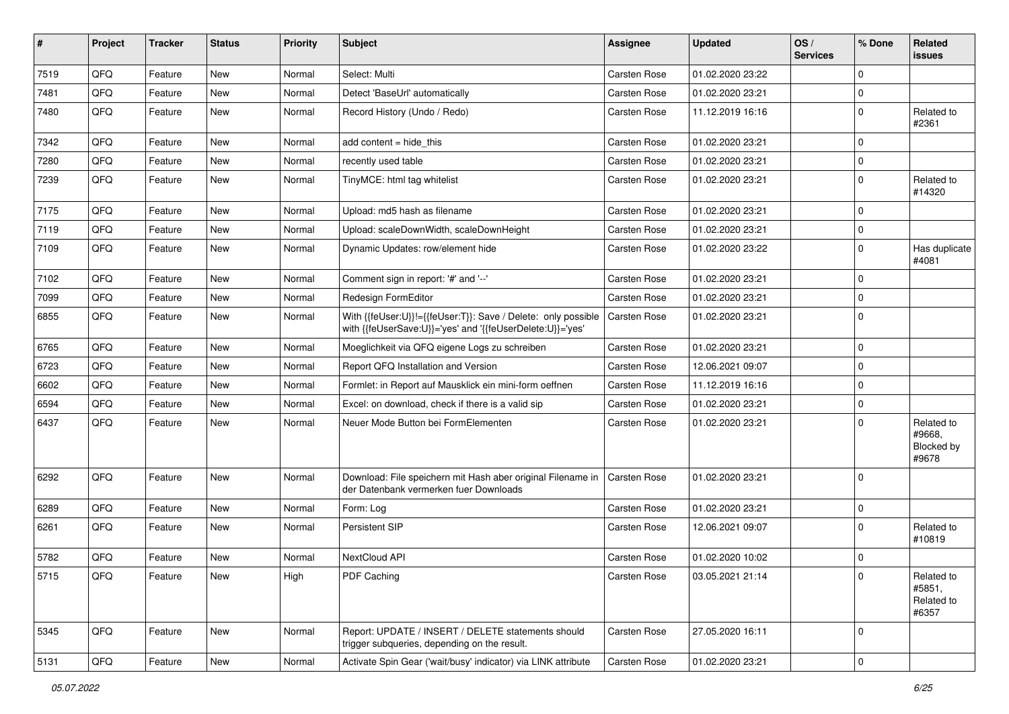| #    | Project        | <b>Tracker</b> | <b>Status</b> | <b>Priority</b> | Subject                                                                                                                    | <b>Assignee</b> | <b>Updated</b>   | OS/<br><b>Services</b> | % Done      | Related<br>issues                           |
|------|----------------|----------------|---------------|-----------------|----------------------------------------------------------------------------------------------------------------------------|-----------------|------------------|------------------------|-------------|---------------------------------------------|
| 7519 | QFQ            | Feature        | <b>New</b>    | Normal          | Select: Multi                                                                                                              | Carsten Rose    | 01.02.2020 23:22 |                        | $\Omega$    |                                             |
| 7481 | QFQ            | Feature        | New           | Normal          | Detect 'BaseUrl' automatically                                                                                             | Carsten Rose    | 01.02.2020 23:21 |                        | $\mathbf 0$ |                                             |
| 7480 | QFQ            | Feature        | New           | Normal          | Record History (Undo / Redo)                                                                                               | Carsten Rose    | 11.12.2019 16:16 |                        | $\mathbf 0$ | Related to<br>#2361                         |
| 7342 | QFQ            | Feature        | New           | Normal          | add content $=$ hide this                                                                                                  | Carsten Rose    | 01.02.2020 23:21 |                        | $\Omega$    |                                             |
| 7280 | QFQ            | Feature        | New           | Normal          | recently used table                                                                                                        | Carsten Rose    | 01.02.2020 23:21 |                        | $\mathbf 0$ |                                             |
| 7239 | QFQ            | Feature        | <b>New</b>    | Normal          | TinyMCE: html tag whitelist                                                                                                | Carsten Rose    | 01.02.2020 23:21 |                        | 0           | Related to<br>#14320                        |
| 7175 | QFQ            | Feature        | <b>New</b>    | Normal          | Upload: md5 hash as filename                                                                                               | Carsten Rose    | 01.02.2020 23:21 |                        | $\Omega$    |                                             |
| 7119 | QFQ            | Feature        | New           | Normal          | Upload: scaleDownWidth, scaleDownHeight                                                                                    | Carsten Rose    | 01.02.2020 23:21 |                        | 0           |                                             |
| 7109 | QFQ            | Feature        | New           | Normal          | Dynamic Updates: row/element hide                                                                                          | Carsten Rose    | 01.02.2020 23:22 |                        | $\mathbf 0$ | Has duplicate<br>#4081                      |
| 7102 | QFQ            | Feature        | <b>New</b>    | Normal          | Comment sign in report: '#' and '--'                                                                                       | Carsten Rose    | 01.02.2020 23:21 |                        | $\mathbf 0$ |                                             |
| 7099 | QFQ            | Feature        | New           | Normal          | Redesign FormEditor                                                                                                        | Carsten Rose    | 01.02.2020 23:21 |                        | $\mathbf 0$ |                                             |
| 6855 | QFQ            | Feature        | <b>New</b>    | Normal          | With {{feUser:U}}!={{feUser:T}}: Save / Delete: only possible<br>with {{feUserSave:U}}='yes' and '{{feUserDelete:U}}='yes' | Carsten Rose    | 01.02.2020 23:21 |                        | 0           |                                             |
| 6765 | QFQ            | Feature        | <b>New</b>    | Normal          | Moeglichkeit via QFQ eigene Logs zu schreiben                                                                              | Carsten Rose    | 01.02.2020 23:21 |                        | $\mathbf 0$ |                                             |
| 6723 | QFQ            | Feature        | <b>New</b>    | Normal          | Report QFQ Installation and Version                                                                                        | Carsten Rose    | 12.06.2021 09:07 |                        | 0           |                                             |
| 6602 | QFQ            | Feature        | New           | Normal          | Formlet: in Report auf Mausklick ein mini-form oeffnen                                                                     | Carsten Rose    | 11.12.2019 16:16 |                        | $\mathbf 0$ |                                             |
| 6594 | QFQ            | Feature        | <b>New</b>    | Normal          | Excel: on download, check if there is a valid sip                                                                          | Carsten Rose    | 01.02.2020 23:21 |                        | 0           |                                             |
| 6437 | QFQ            | Feature        | New           | Normal          | Neuer Mode Button bei FormElementen                                                                                        | Carsten Rose    | 01.02.2020 23:21 |                        | $\Omega$    | Related to<br>#9668,<br>Blocked by<br>#9678 |
| 6292 | QFQ            | Feature        | New           | Normal          | Download: File speichern mit Hash aber original Filename in<br>der Datenbank vermerken fuer Downloads                      | Carsten Rose    | 01.02.2020 23:21 |                        | $\Omega$    |                                             |
| 6289 | QFQ            | Feature        | <b>New</b>    | Normal          | Form: Log                                                                                                                  | Carsten Rose    | 01.02.2020 23:21 |                        | 0           |                                             |
| 6261 | QFQ            | Feature        | <b>New</b>    | Normal          | Persistent SIP                                                                                                             | Carsten Rose    | 12.06.2021 09:07 |                        | $\Omega$    | Related to<br>#10819                        |
| 5782 | QFQ            | Feature        | <b>New</b>    | Normal          | NextCloud API                                                                                                              | Carsten Rose    | 01.02.2020 10:02 |                        | 0           |                                             |
| 5715 | QFQ            | Feature        | New           | High            | PDF Caching                                                                                                                | Carsten Rose    | 03.05.2021 21:14 |                        | 0           | Related to<br>#5851,<br>Related to<br>#6357 |
| 5345 | QFQ            | Feature        | New           | Normal          | Report: UPDATE / INSERT / DELETE statements should<br>trigger subqueries, depending on the result.                         | Carsten Rose    | 27.05.2020 16:11 |                        | 0           |                                             |
| 5131 | $\mathsf{QFQ}$ | Feature        | New           | Normal          | Activate Spin Gear ('wait/busy' indicator) via LINK attribute                                                              | Carsten Rose    | 01.02.2020 23:21 |                        | $\pmb{0}$   |                                             |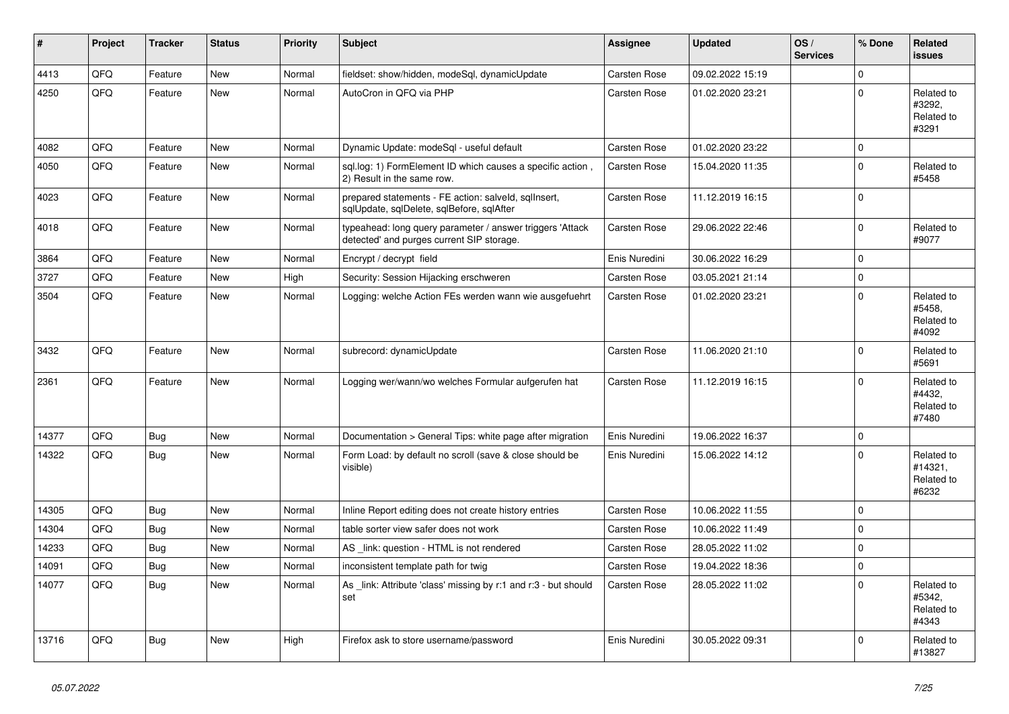| #     | Project | <b>Tracker</b> | <b>Status</b> | <b>Priority</b> | <b>Subject</b>                                                                                         | <b>Assignee</b>     | <b>Updated</b>   | OS/<br><b>Services</b> | % Done         | Related<br><b>issues</b>                     |
|-------|---------|----------------|---------------|-----------------|--------------------------------------------------------------------------------------------------------|---------------------|------------------|------------------------|----------------|----------------------------------------------|
| 4413  | QFQ     | Feature        | <b>New</b>    | Normal          | fieldset: show/hidden, modeSql, dynamicUpdate                                                          | Carsten Rose        | 09.02.2022 15:19 |                        | 0              |                                              |
| 4250  | QFQ     | Feature        | <b>New</b>    | Normal          | AutoCron in QFQ via PHP                                                                                | Carsten Rose        | 01.02.2020 23:21 |                        | 0              | Related to<br>#3292.<br>Related to<br>#3291  |
| 4082  | QFQ     | Feature        | <b>New</b>    | Normal          | Dynamic Update: modeSql - useful default                                                               | <b>Carsten Rose</b> | 01.02.2020 23:22 |                        | $\Omega$       |                                              |
| 4050  | QFQ     | Feature        | <b>New</b>    | Normal          | sql.log: 1) FormElement ID which causes a specific action,<br>2) Result in the same row.               | Carsten Rose        | 15.04.2020 11:35 |                        | $\Omega$       | Related to<br>#5458                          |
| 4023  | QFQ     | Feature        | <b>New</b>    | Normal          | prepared statements - FE action: salveld, sqlInsert,<br>sqlUpdate, sqlDelete, sqlBefore, sqlAfter      | Carsten Rose        | 11.12.2019 16:15 |                        | $\Omega$       |                                              |
| 4018  | QFQ     | Feature        | <b>New</b>    | Normal          | typeahead: long query parameter / answer triggers 'Attack<br>detected' and purges current SIP storage. | Carsten Rose        | 29.06.2022 22:46 |                        | 0              | Related to<br>#9077                          |
| 3864  | QFQ     | Feature        | <b>New</b>    | Normal          | Encrypt / decrypt field                                                                                | Enis Nuredini       | 30.06.2022 16:29 |                        | $\Omega$       |                                              |
| 3727  | QFQ     | Feature        | <b>New</b>    | High            | Security: Session Hijacking erschweren                                                                 | Carsten Rose        | 03.05.2021 21:14 |                        | $\Omega$       |                                              |
| 3504  | QFQ     | Feature        | <b>New</b>    | Normal          | Logging: welche Action FEs werden wann wie ausgefuehrt                                                 | Carsten Rose        | 01.02.2020 23:21 |                        | $\Omega$       | Related to<br>#5458.<br>Related to<br>#4092  |
| 3432  | QFQ     | Feature        | New           | Normal          | subrecord: dynamicUpdate                                                                               | Carsten Rose        | 11.06.2020 21:10 |                        | $\Omega$       | Related to<br>#5691                          |
| 2361  | QFQ     | Feature        | <b>New</b>    | Normal          | Logging wer/wann/wo welches Formular aufgerufen hat                                                    | Carsten Rose        | 11.12.2019 16:15 |                        | $\Omega$       | Related to<br>#4432,<br>Related to<br>#7480  |
| 14377 | QFQ     | Bug            | <b>New</b>    | Normal          | Documentation > General Tips: white page after migration                                               | Enis Nuredini       | 19.06.2022 16:37 |                        | $\Omega$       |                                              |
| 14322 | QFQ     | Bug            | <b>New</b>    | Normal          | Form Load: by default no scroll (save & close should be<br>visible)                                    | Enis Nuredini       | 15.06.2022 14:12 |                        | $\Omega$       | Related to<br>#14321,<br>Related to<br>#6232 |
| 14305 | QFQ     | Bug            | <b>New</b>    | Normal          | Inline Report editing does not create history entries                                                  | Carsten Rose        | 10.06.2022 11:55 |                        | 0              |                                              |
| 14304 | QFQ     | <b>Bug</b>     | New           | Normal          | table sorter view safer does not work                                                                  | Carsten Rose        | 10.06.2022 11:49 |                        | $\Omega$       |                                              |
| 14233 | QFQ     | <b>Bug</b>     | New           | Normal          | AS _link: question - HTML is not rendered                                                              | Carsten Rose        | 28.05.2022 11:02 |                        | $\Omega$       |                                              |
| 14091 | QFQ     | <b>Bug</b>     | <b>New</b>    | Normal          | inconsistent template path for twig                                                                    | <b>Carsten Rose</b> | 19.04.2022 18:36 |                        | $\overline{0}$ |                                              |
| 14077 | QFQ     | <b>Bug</b>     | New           | Normal          | As _link: Attribute 'class' missing by r:1 and r:3 - but should<br>set                                 | <b>Carsten Rose</b> | 28.05.2022 11:02 |                        | $\Omega$       | Related to<br>#5342.<br>Related to<br>#4343  |
| 13716 | QFQ     | <b>Bug</b>     | <b>New</b>    | High            | Firefox ask to store username/password                                                                 | Enis Nuredini       | 30.05.2022 09:31 |                        | 0              | Related to<br>#13827                         |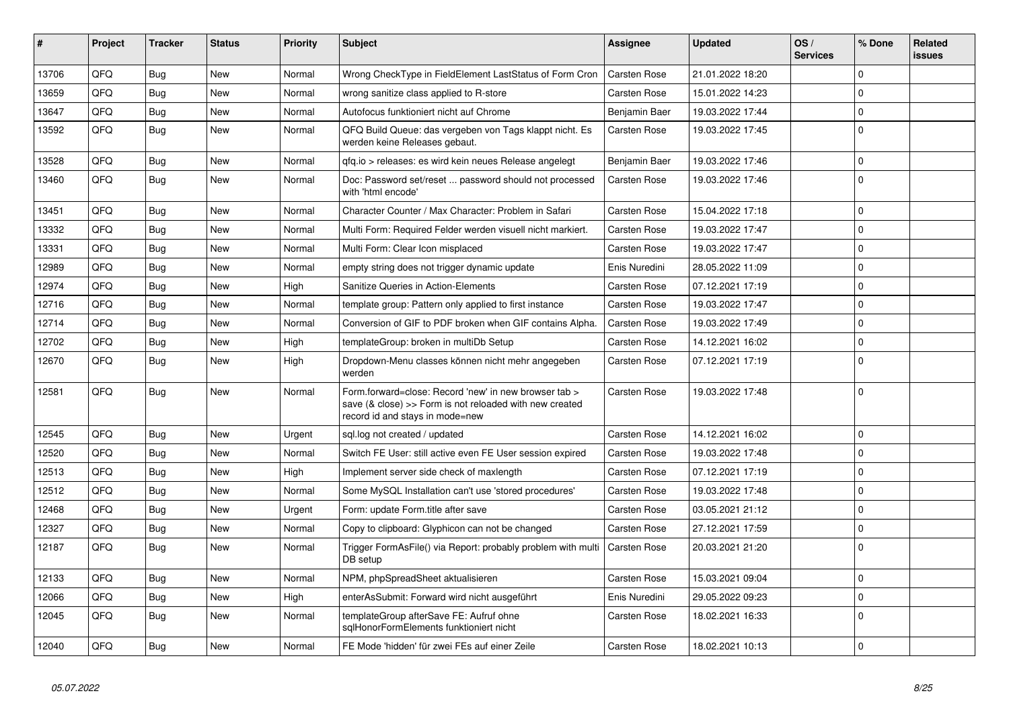| #     | <b>Project</b> | <b>Tracker</b> | <b>Status</b> | <b>Priority</b> | <b>Subject</b>                                                                                                                                      | Assignee            | <b>Updated</b>   | OS/<br><b>Services</b> | % Done      | Related<br><b>issues</b> |
|-------|----------------|----------------|---------------|-----------------|-----------------------------------------------------------------------------------------------------------------------------------------------------|---------------------|------------------|------------------------|-------------|--------------------------|
| 13706 | QFQ            | <b>Bug</b>     | <b>New</b>    | Normal          | Wrong CheckType in FieldElement LastStatus of Form Cron                                                                                             | Carsten Rose        | 21.01.2022 18:20 |                        | $\Omega$    |                          |
| 13659 | QFQ            | Bug            | New           | Normal          | wrong sanitize class applied to R-store                                                                                                             | <b>Carsten Rose</b> | 15.01.2022 14:23 |                        | $\mathbf 0$ |                          |
| 13647 | QFQ            | Bug            | <b>New</b>    | Normal          | Autofocus funktioniert nicht auf Chrome                                                                                                             | Benjamin Baer       | 19.03.2022 17:44 |                        | $\mathbf 0$ |                          |
| 13592 | QFQ            | <b>Bug</b>     | New           | Normal          | QFQ Build Queue: das vergeben von Tags klappt nicht. Es<br>werden keine Releases gebaut.                                                            | Carsten Rose        | 19.03.2022 17:45 |                        | $\mathbf 0$ |                          |
| 13528 | QFQ            | <b>Bug</b>     | <b>New</b>    | Normal          | qfq.io > releases: es wird kein neues Release angelegt                                                                                              | Benjamin Baer       | 19.03.2022 17:46 |                        | $\Omega$    |                          |
| 13460 | QFQ            | <b>Bug</b>     | New           | Normal          | Doc: Password set/reset  password should not processed<br>with 'html encode'                                                                        | <b>Carsten Rose</b> | 19.03.2022 17:46 |                        | $\Omega$    |                          |
| 13451 | QFQ            | Bug            | <b>New</b>    | Normal          | Character Counter / Max Character: Problem in Safari                                                                                                | Carsten Rose        | 15.04.2022 17:18 |                        | $\Omega$    |                          |
| 13332 | QFQ            | Bug            | <b>New</b>    | Normal          | Multi Form: Required Felder werden visuell nicht markiert.                                                                                          | Carsten Rose        | 19.03.2022 17:47 |                        | $\Omega$    |                          |
| 13331 | QFQ            | Bug            | <b>New</b>    | Normal          | Multi Form: Clear Icon misplaced                                                                                                                    | Carsten Rose        | 19.03.2022 17:47 |                        | $\mathbf 0$ |                          |
| 12989 | QFQ            | <b>Bug</b>     | <b>New</b>    | Normal          | empty string does not trigger dynamic update                                                                                                        | Enis Nuredini       | 28.05.2022 11:09 |                        | $\Omega$    |                          |
| 12974 | QFQ            | <b>Bug</b>     | <b>New</b>    | High            | Sanitize Queries in Action-Elements                                                                                                                 | Carsten Rose        | 07.12.2021 17:19 |                        | $\mathbf 0$ |                          |
| 12716 | QFQ            | Bug            | <b>New</b>    | Normal          | template group: Pattern only applied to first instance                                                                                              | Carsten Rose        | 19.03.2022 17:47 |                        | $\mathbf 0$ |                          |
| 12714 | QFQ            | <b>Bug</b>     | <b>New</b>    | Normal          | Conversion of GIF to PDF broken when GIF contains Alpha.                                                                                            | Carsten Rose        | 19.03.2022 17:49 |                        | $\Omega$    |                          |
| 12702 | QFQ            | Bug            | <b>New</b>    | High            | templateGroup: broken in multiDb Setup                                                                                                              | <b>Carsten Rose</b> | 14.12.2021 16:02 |                        | $\mathbf 0$ |                          |
| 12670 | QFQ            | Bug            | New           | High            | Dropdown-Menu classes können nicht mehr angegeben<br>werden                                                                                         | Carsten Rose        | 07.12.2021 17:19 |                        | $\mathbf 0$ |                          |
| 12581 | QFQ            | <b>Bug</b>     | <b>New</b>    | Normal          | Form.forward=close: Record 'new' in new browser tab ><br>save (& close) >> Form is not reloaded with new created<br>record id and stays in mode=new | <b>Carsten Rose</b> | 19.03.2022 17:48 |                        | $\Omega$    |                          |
| 12545 | QFQ            | Bug            | <b>New</b>    | Urgent          | sql.log not created / updated                                                                                                                       | Carsten Rose        | 14.12.2021 16:02 |                        | $\mathbf 0$ |                          |
| 12520 | QFQ            | Bug            | <b>New</b>    | Normal          | Switch FE User: still active even FE User session expired                                                                                           | Carsten Rose        | 19.03.2022 17:48 |                        | $\Omega$    |                          |
| 12513 | QFQ            | <b>Bug</b>     | <b>New</b>    | High            | Implement server side check of maxlength                                                                                                            | Carsten Rose        | 07.12.2021 17:19 |                        | $\mathbf 0$ |                          |
| 12512 | QFQ            | Bug            | New           | Normal          | Some MySQL Installation can't use 'stored procedures'                                                                                               | <b>Carsten Rose</b> | 19.03.2022 17:48 |                        | $\mathbf 0$ |                          |
| 12468 | QFQ            | Bug            | <b>New</b>    | Urgent          | Form: update Form.title after save                                                                                                                  | Carsten Rose        | 03.05.2021 21:12 |                        | $\mathbf 0$ |                          |
| 12327 | QFQ            | <b>Bug</b>     | <b>New</b>    | Normal          | Copy to clipboard: Glyphicon can not be changed                                                                                                     | Carsten Rose        | 27.12.2021 17:59 |                        | $\Omega$    |                          |
| 12187 | QFQ            | Bug            | <b>New</b>    | Normal          | Trigger FormAsFile() via Report: probably problem with multi<br>DB setup                                                                            | <b>Carsten Rose</b> | 20.03.2021 21:20 |                        | $\mathbf 0$ |                          |
| 12133 | QFQ            | Bug            | <b>New</b>    | Normal          | NPM, phpSpreadSheet aktualisieren                                                                                                                   | <b>Carsten Rose</b> | 15.03.2021 09:04 |                        | $\mathbf 0$ |                          |
| 12066 | QFQ            | <b>Bug</b>     | <b>New</b>    | High            | enterAsSubmit: Forward wird nicht ausgeführt                                                                                                        | Enis Nuredini       | 29.05.2022 09:23 |                        | $\mathbf 0$ |                          |
| 12045 | QFQ            | Bug            | New           | Normal          | templateGroup afterSave FE: Aufruf ohne<br>sglHonorFormElements funktioniert nicht                                                                  | <b>Carsten Rose</b> | 18.02.2021 16:33 |                        | $\mathbf 0$ |                          |
| 12040 | QFQ            | Bug            | New           | Normal          | FE Mode 'hidden' für zwei FEs auf einer Zeile                                                                                                       | Carsten Rose        | 18.02.2021 10:13 |                        | 0           |                          |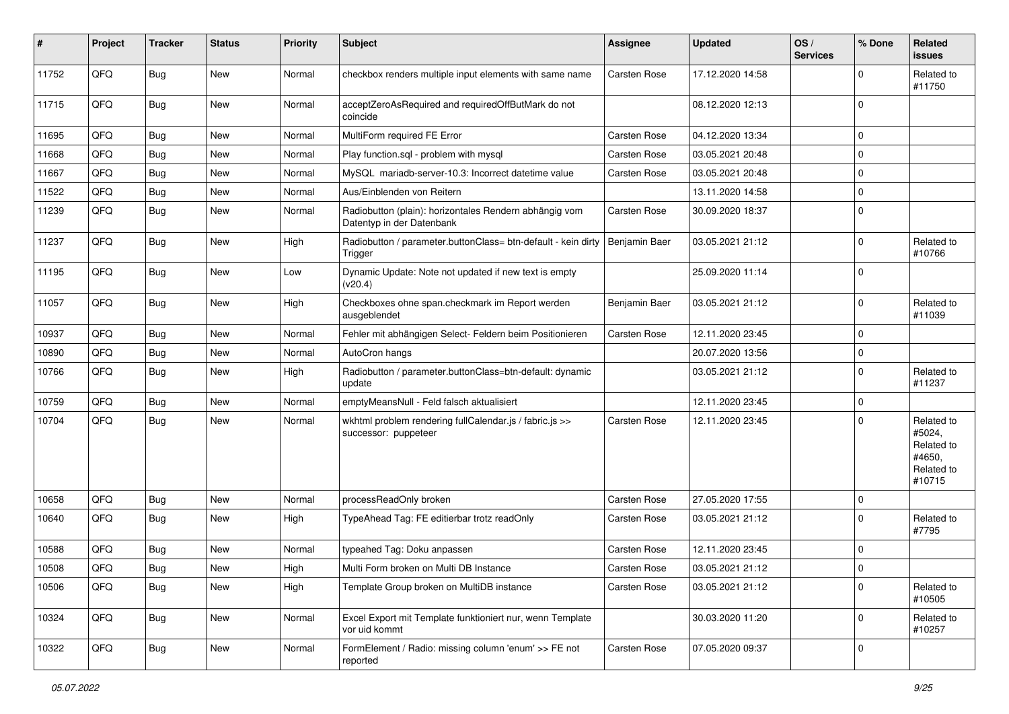| #     | Project | <b>Tracker</b> | <b>Status</b> | <b>Priority</b> | <b>Subject</b>                                                                      | Assignee      | <b>Updated</b>   | OS/<br><b>Services</b> | % Done      | Related<br><b>issues</b>                                             |
|-------|---------|----------------|---------------|-----------------|-------------------------------------------------------------------------------------|---------------|------------------|------------------------|-------------|----------------------------------------------------------------------|
| 11752 | QFQ     | <b>Bug</b>     | New           | Normal          | checkbox renders multiple input elements with same name                             | Carsten Rose  | 17.12.2020 14:58 |                        | $\Omega$    | Related to<br>#11750                                                 |
| 11715 | QFQ     | Bug            | <b>New</b>    | Normal          | acceptZeroAsRequired and requiredOffButMark do not<br>coincide                      |               | 08.12.2020 12:13 |                        | $\mathbf 0$ |                                                                      |
| 11695 | QFQ     | <b>Bug</b>     | <b>New</b>    | Normal          | MultiForm required FE Error                                                         | Carsten Rose  | 04.12.2020 13:34 |                        | $\mathbf 0$ |                                                                      |
| 11668 | QFQ     | <b>Bug</b>     | New           | Normal          | Play function.sgl - problem with mysgl                                              | Carsten Rose  | 03.05.2021 20:48 |                        | $\Omega$    |                                                                      |
| 11667 | QFQ     | Bug            | <b>New</b>    | Normal          | MySQL mariadb-server-10.3: Incorrect datetime value                                 | Carsten Rose  | 03.05.2021 20:48 |                        | $\mathbf 0$ |                                                                      |
| 11522 | QFQ     | <b>Bug</b>     | New           | Normal          | Aus/Einblenden von Reitern                                                          |               | 13.11.2020 14:58 |                        | $\Omega$    |                                                                      |
| 11239 | QFQ     | <b>Bug</b>     | <b>New</b>    | Normal          | Radiobutton (plain): horizontales Rendern abhängig vom<br>Datentyp in der Datenbank | Carsten Rose  | 30.09.2020 18:37 |                        | $\mathbf 0$ |                                                                      |
| 11237 | QFQ     | Bug            | <b>New</b>    | High            | Radiobutton / parameter.buttonClass= btn-default - kein dirty<br>Trigger            | Benjamin Baer | 03.05.2021 21:12 |                        | $\mathbf 0$ | Related to<br>#10766                                                 |
| 11195 | QFQ     | <b>Bug</b>     | New           | Low             | Dynamic Update: Note not updated if new text is empty<br>(v20.4)                    |               | 25.09.2020 11:14 |                        | $\Omega$    |                                                                      |
| 11057 | QFQ     | Bug            | <b>New</b>    | High            | Checkboxes ohne span.checkmark im Report werden<br>ausgeblendet                     | Benjamin Baer | 03.05.2021 21:12 |                        | $\Omega$    | Related to<br>#11039                                                 |
| 10937 | QFQ     | <b>Bug</b>     | <b>New</b>    | Normal          | Fehler mit abhängigen Select- Feldern beim Positionieren                            | Carsten Rose  | 12.11.2020 23:45 |                        | $\Omega$    |                                                                      |
| 10890 | QFQ     | <b>Bug</b>     | <b>New</b>    | Normal          | AutoCron hangs                                                                      |               | 20.07.2020 13:56 |                        | 0           |                                                                      |
| 10766 | QFQ     | <b>Bug</b>     | New           | High            | Radiobutton / parameter.buttonClass=btn-default: dynamic<br>update                  |               | 03.05.2021 21:12 |                        | $\Omega$    | Related to<br>#11237                                                 |
| 10759 | QFQ     | Bug            | <b>New</b>    | Normal          | emptyMeansNull - Feld falsch aktualisiert                                           |               | 12.11.2020 23:45 |                        | 0           |                                                                      |
| 10704 | QFQ     | <b>Bug</b>     | New           | Normal          | wkhtml problem rendering fullCalendar.js / fabric.js >><br>successor: puppeteer     | Carsten Rose  | 12.11.2020 23:45 |                        | $\Omega$    | Related to<br>#5024,<br>Related to<br>#4650,<br>Related to<br>#10715 |
| 10658 | QFQ     | Bug            | <b>New</b>    | Normal          | processReadOnly broken                                                              | Carsten Rose  | 27.05.2020 17:55 |                        | $\mathbf 0$ |                                                                      |
| 10640 | QFQ     | Bug            | <b>New</b>    | High            | TypeAhead Tag: FE editierbar trotz readOnly                                         | Carsten Rose  | 03.05.2021 21:12 |                        | $\Omega$    | Related to<br>#7795                                                  |
| 10588 | QFQ     | <b>Bug</b>     | New           | Normal          | typeahed Tag: Doku anpassen                                                         | Carsten Rose  | 12.11.2020 23:45 |                        | $\mathbf 0$ |                                                                      |
| 10508 | QFQ     | Bug            | New           | High            | Multi Form broken on Multi DB Instance                                              | Carsten Rose  | 03.05.2021 21:12 |                        | $\mathbf 0$ |                                                                      |
| 10506 | QFQ     | <b>Bug</b>     | New           | High            | Template Group broken on MultiDB instance                                           | Carsten Rose  | 03.05.2021 21:12 |                        | $\mathbf 0$ | Related to<br>#10505                                                 |
| 10324 | QFQ     | Bug            | New           | Normal          | Excel Export mit Template funktioniert nur, wenn Template<br>vor uid kommt          |               | 30.03.2020 11:20 |                        | $\mathbf 0$ | Related to<br>#10257                                                 |
| 10322 | QFQ     | Bug            | New           | Normal          | FormElement / Radio: missing column 'enum' >> FE not<br>reported                    | Carsten Rose  | 07.05.2020 09:37 |                        | $\mathbf 0$ |                                                                      |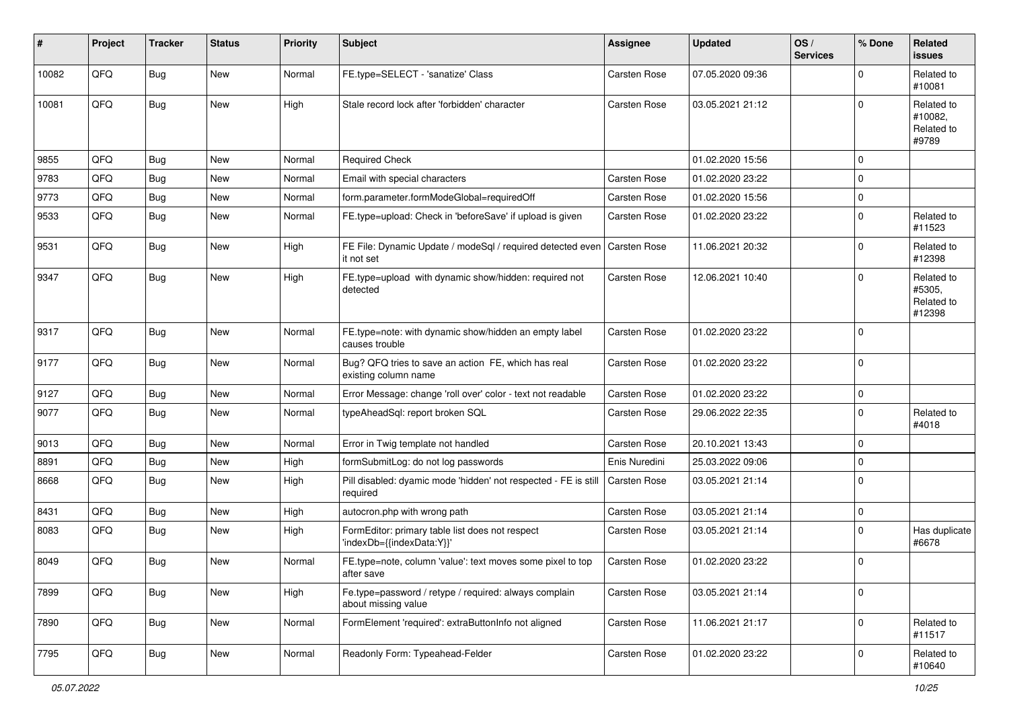| $\sharp$ | Project | <b>Tracker</b> | <b>Status</b> | <b>Priority</b> | Subject                                                                      | <b>Assignee</b> | <b>Updated</b>   | OS/<br><b>Services</b> | % Done      | Related<br><b>issues</b>                     |
|----------|---------|----------------|---------------|-----------------|------------------------------------------------------------------------------|-----------------|------------------|------------------------|-------------|----------------------------------------------|
| 10082    | QFQ     | Bug            | New           | Normal          | FE.type=SELECT - 'sanatize' Class                                            | Carsten Rose    | 07.05.2020 09:36 |                        | $\Omega$    | Related to<br>#10081                         |
| 10081    | QFQ     | <b>Bug</b>     | New           | High            | Stale record lock after 'forbidden' character                                | Carsten Rose    | 03.05.2021 21:12 |                        | $\Omega$    | Related to<br>#10082,<br>Related to<br>#9789 |
| 9855     | QFQ     | <b>Bug</b>     | <b>New</b>    | Normal          | <b>Required Check</b>                                                        |                 | 01.02.2020 15:56 |                        | 0           |                                              |
| 9783     | QFQ     | <b>Bug</b>     | <b>New</b>    | Normal          | Email with special characters                                                | Carsten Rose    | 01.02.2020 23:22 |                        | $\Omega$    |                                              |
| 9773     | QFQ     | <b>Bug</b>     | New           | Normal          | form.parameter.formModeGlobal=requiredOff                                    | Carsten Rose    | 01.02.2020 15:56 |                        | $\Omega$    |                                              |
| 9533     | QFQ     | <b>Bug</b>     | New           | Normal          | FE.type=upload: Check in 'beforeSave' if upload is given                     | Carsten Rose    | 01.02.2020 23:22 |                        | $\mathbf 0$ | Related to<br>#11523                         |
| 9531     | QFQ     | <b>Bug</b>     | New           | High            | FE File: Dynamic Update / modeSql / required detected even<br>it not set     | Carsten Rose    | 11.06.2021 20:32 |                        | $\Omega$    | Related to<br>#12398                         |
| 9347     | QFQ     | Bug            | New           | High            | FE.type=upload with dynamic show/hidden: required not<br>detected            | Carsten Rose    | 12.06.2021 10:40 |                        | $\Omega$    | Related to<br>#5305,<br>Related to<br>#12398 |
| 9317     | QFQ     | <b>Bug</b>     | New           | Normal          | FE.type=note: with dynamic show/hidden an empty label<br>causes trouble      | Carsten Rose    | 01.02.2020 23:22 |                        | $\Omega$    |                                              |
| 9177     | QFQ     | <b>Bug</b>     | <b>New</b>    | Normal          | Bug? QFQ tries to save an action FE, which has real<br>existing column name  | Carsten Rose    | 01.02.2020 23:22 |                        | $\mathbf 0$ |                                              |
| 9127     | QFQ     | <b>Bug</b>     | <b>New</b>    | Normal          | Error Message: change 'roll over' color - text not readable                  | Carsten Rose    | 01.02.2020 23:22 |                        | $\mathbf 0$ |                                              |
| 9077     | QFQ     | <b>Bug</b>     | New           | Normal          | typeAheadSql: report broken SQL                                              | Carsten Rose    | 29.06.2022 22:35 |                        | $\Omega$    | Related to<br>#4018                          |
| 9013     | QFQ     | <b>Bug</b>     | New           | Normal          | Error in Twig template not handled                                           | Carsten Rose    | 20.10.2021 13:43 |                        | $\Omega$    |                                              |
| 8891     | QFQ     | <b>Bug</b>     | <b>New</b>    | High            | formSubmitLog: do not log passwords                                          | Enis Nuredini   | 25.03.2022 09:06 |                        | $\Omega$    |                                              |
| 8668     | QFQ     | <b>Bug</b>     | New           | High            | Pill disabled: dyamic mode 'hidden' not respected - FE is still<br>required  | Carsten Rose    | 03.05.2021 21:14 |                        | $\Omega$    |                                              |
| 8431     | QFQ     | <b>Bug</b>     | New           | High            | autocron.php with wrong path                                                 | Carsten Rose    | 03.05.2021 21:14 |                        | 0           |                                              |
| 8083     | QFQ     | <b>Bug</b>     | New           | High            | FormEditor: primary table list does not respect<br>'indexDb={{indexData:Y}}' | Carsten Rose    | 03.05.2021 21:14 |                        | $\mathbf 0$ | Has duplicate<br>#6678                       |
| 8049     | QFQ     | <b>Bug</b>     | New           | Normal          | FE.type=note, column 'value': text moves some pixel to top<br>atter save     | Carsten Rose    | 01.02.2020 23:22 |                        | $\mathbf 0$ |                                              |
| 7899     | QFQ     | <b>Bug</b>     | New           | High            | Fe.type=password / retype / required: always complain<br>about missing value | Carsten Rose    | 03.05.2021 21:14 |                        | 0           |                                              |
| 7890     | QFQ     | <b>Bug</b>     | New           | Normal          | FormElement 'required': extraButtonInfo not aligned                          | Carsten Rose    | 11.06.2021 21:17 |                        | 0           | Related to<br>#11517                         |
| 7795     | QFQ     | Bug            | New           | Normal          | Readonly Form: Typeahead-Felder                                              | Carsten Rose    | 01.02.2020 23:22 |                        | 0           | Related to<br>#10640                         |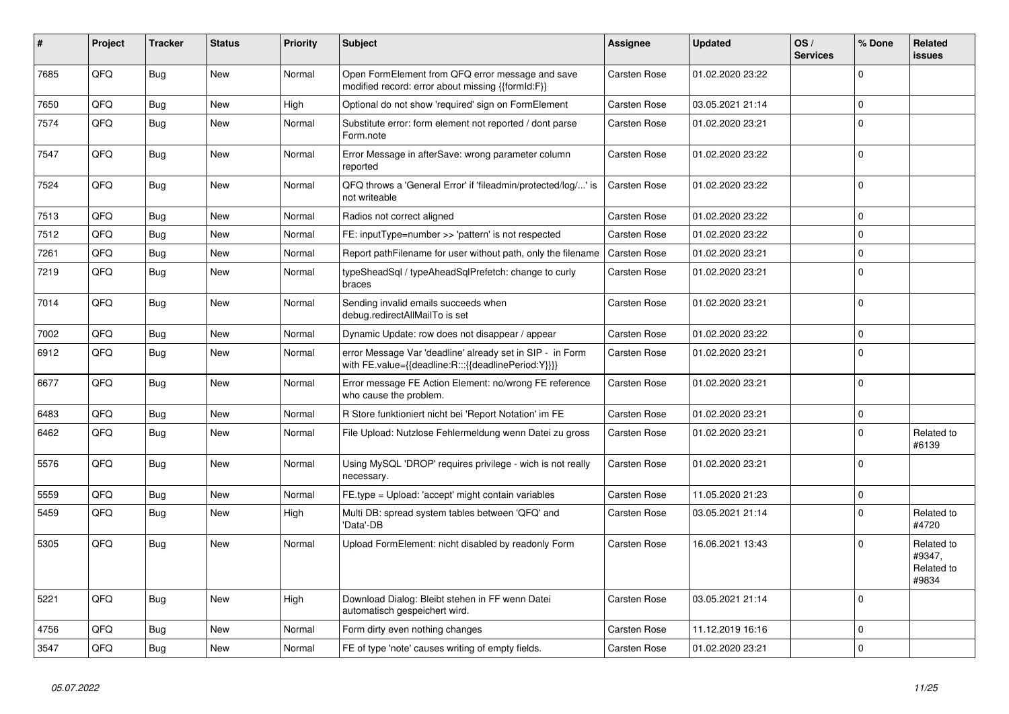| #    | Project | <b>Tracker</b> | <b>Status</b> | <b>Priority</b> | <b>Subject</b>                                                                                                   | Assignee     | <b>Updated</b>   | OS/<br><b>Services</b> | % Done      | Related<br><b>issues</b>                    |
|------|---------|----------------|---------------|-----------------|------------------------------------------------------------------------------------------------------------------|--------------|------------------|------------------------|-------------|---------------------------------------------|
| 7685 | QFQ     | <b>Bug</b>     | <b>New</b>    | Normal          | Open FormElement from QFQ error message and save<br>modified record: error about missing {{formId:F}}            | Carsten Rose | 01.02.2020 23:22 |                        | $\Omega$    |                                             |
| 7650 | QFQ     | <b>Bug</b>     | <b>New</b>    | High            | Optional do not show 'required' sign on FormElement                                                              | Carsten Rose | 03.05.2021 21:14 |                        | $\mathbf 0$ |                                             |
| 7574 | QFQ     | <b>Bug</b>     | <b>New</b>    | Normal          | Substitute error: form element not reported / dont parse<br>Form.note                                            | Carsten Rose | 01.02.2020 23:21 |                        | $\mathbf 0$ |                                             |
| 7547 | QFQ     | <b>Bug</b>     | <b>New</b>    | Normal          | Error Message in afterSave: wrong parameter column<br>reported                                                   | Carsten Rose | 01.02.2020 23:22 |                        | $\mathbf 0$ |                                             |
| 7524 | QFQ     | <b>Bug</b>     | New           | Normal          | QFQ throws a 'General Error' if 'fileadmin/protected/log/' is<br>not writeable                                   | Carsten Rose | 01.02.2020 23:22 |                        | $\mathbf 0$ |                                             |
| 7513 | QFQ     | Bug            | <b>New</b>    | Normal          | Radios not correct aligned                                                                                       | Carsten Rose | 01.02.2020 23:22 |                        | $\mathbf 0$ |                                             |
| 7512 | QFQ     | <b>Bug</b>     | <b>New</b>    | Normal          | FE: inputType=number >> 'pattern' is not respected                                                               | Carsten Rose | 01.02.2020 23:22 |                        | $\mathbf 0$ |                                             |
| 7261 | QFQ     | <b>Bug</b>     | <b>New</b>    | Normal          | Report pathFilename for user without path, only the filename                                                     | Carsten Rose | 01.02.2020 23:21 |                        | $\pmb{0}$   |                                             |
| 7219 | QFQ     | <b>Bug</b>     | New           | Normal          | typeSheadSql / typeAheadSqlPrefetch: change to curly<br>braces                                                   | Carsten Rose | 01.02.2020 23:21 |                        | $\Omega$    |                                             |
| 7014 | QFQ     | <b>Bug</b>     | New           | Normal          | Sending invalid emails succeeds when<br>debug.redirectAllMailTo is set                                           | Carsten Rose | 01.02.2020 23:21 |                        | $\mathbf 0$ |                                             |
| 7002 | QFQ     | <b>Bug</b>     | <b>New</b>    | Normal          | Dynamic Update: row does not disappear / appear                                                                  | Carsten Rose | 01.02.2020 23:22 |                        | $\mathbf 0$ |                                             |
| 6912 | QFQ     | Bug            | <b>New</b>    | Normal          | error Message Var 'deadline' already set in SIP - in Form<br>with FE.value={{deadline:R:::{{deadlinePeriod:Y}}}} | Carsten Rose | 01.02.2020 23:21 |                        | $\mathbf 0$ |                                             |
| 6677 | QFQ     | <b>Bug</b>     | <b>New</b>    | Normal          | Error message FE Action Element: no/wrong FE reference<br>who cause the problem.                                 | Carsten Rose | 01.02.2020 23:21 |                        | $\Omega$    |                                             |
| 6483 | QFQ     | <b>Bug</b>     | <b>New</b>    | Normal          | R Store funktioniert nicht bei 'Report Notation' im FE                                                           | Carsten Rose | 01.02.2020 23:21 |                        | $\mathbf 0$ |                                             |
| 6462 | QFQ     | <b>Bug</b>     | <b>New</b>    | Normal          | File Upload: Nutzlose Fehlermeldung wenn Datei zu gross                                                          | Carsten Rose | 01.02.2020 23:21 |                        | $\Omega$    | Related to<br>#6139                         |
| 5576 | QFQ     | Bug            | <b>New</b>    | Normal          | Using MySQL 'DROP' requires privilege - wich is not really<br>necessary.                                         | Carsten Rose | 01.02.2020 23:21 |                        | $\Omega$    |                                             |
| 5559 | QFQ     | <b>Bug</b>     | <b>New</b>    | Normal          | FE.type = Upload: 'accept' might contain variables                                                               | Carsten Rose | 11.05.2020 21:23 |                        | $\pmb{0}$   |                                             |
| 5459 | QFQ     | <b>Bug</b>     | <b>New</b>    | High            | Multi DB: spread system tables between 'QFQ' and<br>'Data'-DB                                                    | Carsten Rose | 03.05.2021 21:14 |                        | $\Omega$    | Related to<br>#4720                         |
| 5305 | QFQ     | <b>Bug</b>     | <b>New</b>    | Normal          | Upload FormElement: nicht disabled by readonly Form                                                              | Carsten Rose | 16.06.2021 13:43 |                        | $\Omega$    | Related to<br>#9347,<br>Related to<br>#9834 |
| 5221 | QFQ     | <b>Bug</b>     | <b>New</b>    | High            | Download Dialog: Bleibt stehen in FF wenn Datei<br>automatisch gespeichert wird.                                 | Carsten Rose | 03.05.2021 21:14 |                        | $\Omega$    |                                             |
| 4756 | QFQ     | Bug            | New           | Normal          | Form dirty even nothing changes                                                                                  | Carsten Rose | 11.12.2019 16:16 |                        | $\mathbf 0$ |                                             |
| 3547 | QFQ     | Bug            | New           | Normal          | FE of type 'note' causes writing of empty fields.                                                                | Carsten Rose | 01.02.2020 23:21 |                        | $\mathbf 0$ |                                             |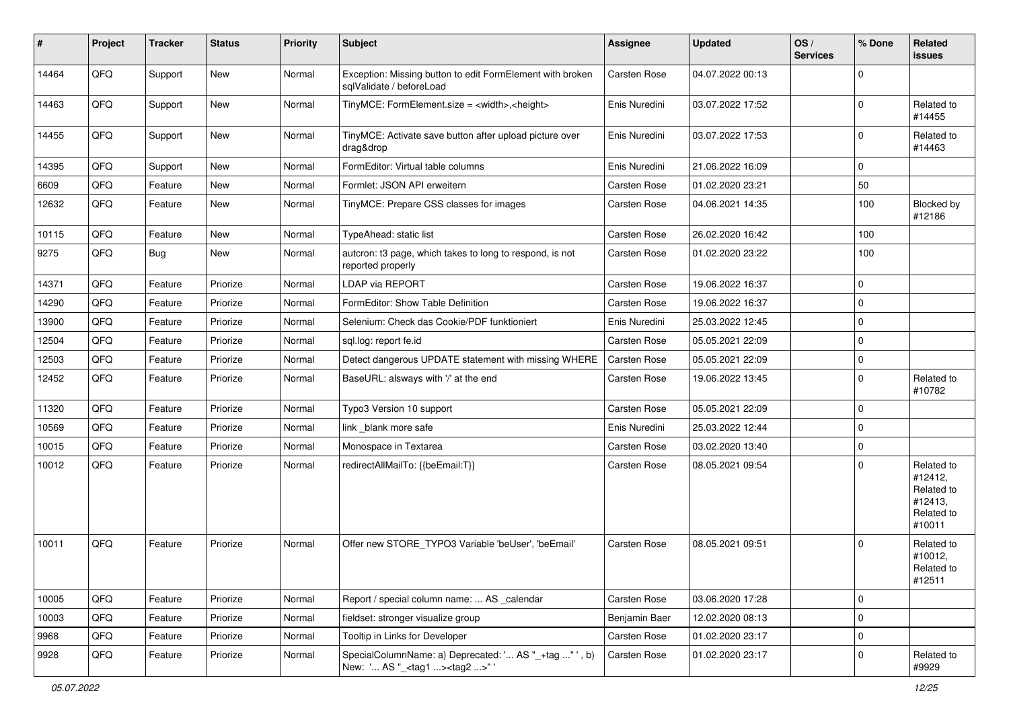| #     | Project | <b>Tracker</b> | <b>Status</b> | <b>Priority</b> | Subject                                                                                            | <b>Assignee</b> | <b>Updated</b>   | OS/<br><b>Services</b> | % Done      | Related<br>issues                                                      |
|-------|---------|----------------|---------------|-----------------|----------------------------------------------------------------------------------------------------|-----------------|------------------|------------------------|-------------|------------------------------------------------------------------------|
| 14464 | QFQ     | Support        | New           | Normal          | Exception: Missing button to edit FormElement with broken<br>sqlValidate / beforeLoad              | Carsten Rose    | 04.07.2022 00:13 |                        | $\Omega$    |                                                                        |
| 14463 | QFQ     | Support        | <b>New</b>    | Normal          | TinyMCE: FormElement.size = <width>,<height></height></width>                                      | Enis Nuredini   | 03.07.2022 17:52 |                        | $\Omega$    | Related to<br>#14455                                                   |
| 14455 | QFQ     | Support        | New           | Normal          | TinyMCE: Activate save button after upload picture over<br>drag&drop                               | Enis Nuredini   | 03.07.2022 17:53 |                        | $\Omega$    | Related to<br>#14463                                                   |
| 14395 | QFQ     | Support        | <b>New</b>    | Normal          | FormEditor: Virtual table columns                                                                  | Enis Nuredini   | 21.06.2022 16:09 |                        | $\mathbf 0$ |                                                                        |
| 6609  | QFQ     | Feature        | New           | Normal          | Formlet: JSON API erweitern                                                                        | Carsten Rose    | 01.02.2020 23:21 |                        | 50          |                                                                        |
| 12632 | QFQ     | Feature        | New           | Normal          | TinyMCE: Prepare CSS classes for images                                                            | Carsten Rose    | 04.06.2021 14:35 |                        | 100         | Blocked by<br>#12186                                                   |
| 10115 | QFQ     | Feature        | <b>New</b>    | Normal          | TypeAhead: static list                                                                             | Carsten Rose    | 26.02.2020 16:42 |                        | 100         |                                                                        |
| 9275  | QFQ     | <b>Bug</b>     | New           | Normal          | autcron: t3 page, which takes to long to respond, is not<br>reported properly                      | Carsten Rose    | 01.02.2020 23:22 |                        | 100         |                                                                        |
| 14371 | QFQ     | Feature        | Priorize      | Normal          | <b>LDAP via REPORT</b>                                                                             | Carsten Rose    | 19.06.2022 16:37 |                        | $\Omega$    |                                                                        |
| 14290 | QFQ     | Feature        | Priorize      | Normal          | FormEditor: Show Table Definition                                                                  | Carsten Rose    | 19.06.2022 16:37 |                        | $\mathbf 0$ |                                                                        |
| 13900 | QFQ     | Feature        | Priorize      | Normal          | Selenium: Check das Cookie/PDF funktioniert                                                        | Enis Nuredini   | 25.03.2022 12:45 |                        | $\Omega$    |                                                                        |
| 12504 | QFQ     | Feature        | Priorize      | Normal          | sql.log: report fe.id                                                                              | Carsten Rose    | 05.05.2021 22:09 |                        | $\Omega$    |                                                                        |
| 12503 | QFQ     | Feature        | Priorize      | Normal          | Detect dangerous UPDATE statement with missing WHERE                                               | Carsten Rose    | 05.05.2021 22:09 |                        | 0           |                                                                        |
| 12452 | QFQ     | Feature        | Priorize      | Normal          | BaseURL: alsways with '/' at the end                                                               | Carsten Rose    | 19.06.2022 13:45 |                        | $\Omega$    | Related to<br>#10782                                                   |
| 11320 | QFQ     | Feature        | Priorize      | Normal          | Typo3 Version 10 support                                                                           | Carsten Rose    | 05.05.2021 22:09 |                        | $\Omega$    |                                                                        |
| 10569 | QFQ     | Feature        | Priorize      | Normal          | link blank more safe                                                                               | Enis Nuredini   | 25.03.2022 12:44 |                        | $\Omega$    |                                                                        |
| 10015 | QFQ     | Feature        | Priorize      | Normal          | Monospace in Textarea                                                                              | Carsten Rose    | 03.02.2020 13:40 |                        | $\Omega$    |                                                                        |
| 10012 | QFQ     | Feature        | Priorize      | Normal          | redirectAllMailTo: {{beEmail:T}}                                                                   | Carsten Rose    | 08.05.2021 09:54 |                        | $\Omega$    | Related to<br>#12412,<br>Related to<br>#12413,<br>Related to<br>#10011 |
| 10011 | QFQ     | Feature        | Priorize      | Normal          | Offer new STORE TYPO3 Variable 'beUser', 'beEmail'                                                 | Carsten Rose    | 08.05.2021 09:51 |                        | $\Omega$    | Related to<br>#10012,<br>Related to<br>#12511                          |
| 10005 | QFQ     | Feature        | Priorize      | Normal          | Report / special column name:  AS _calendar                                                        | Carsten Rose    | 03.06.2020 17:28 |                        | 0           |                                                                        |
| 10003 | QFQ     | Feature        | Priorize      | Normal          | fieldset: stronger visualize group                                                                 | Benjamin Baer   | 12.02.2020 08:13 |                        | 0           |                                                                        |
| 9968  | QFQ     | Feature        | Priorize      | Normal          | Tooltip in Links for Developer                                                                     | Carsten Rose    | 01.02.2020 23:17 |                        | $\mathbf 0$ |                                                                        |
| 9928  | QFQ     | Feature        | Priorize      | Normal          | SpecialColumnName: a) Deprecated: ' AS "_+tag " ', b)<br>New: ' AS "_ <tag1><tag2>"'</tag2></tag1> | Carsten Rose    | 01.02.2020 23:17 |                        | 0           | Related to<br>#9929                                                    |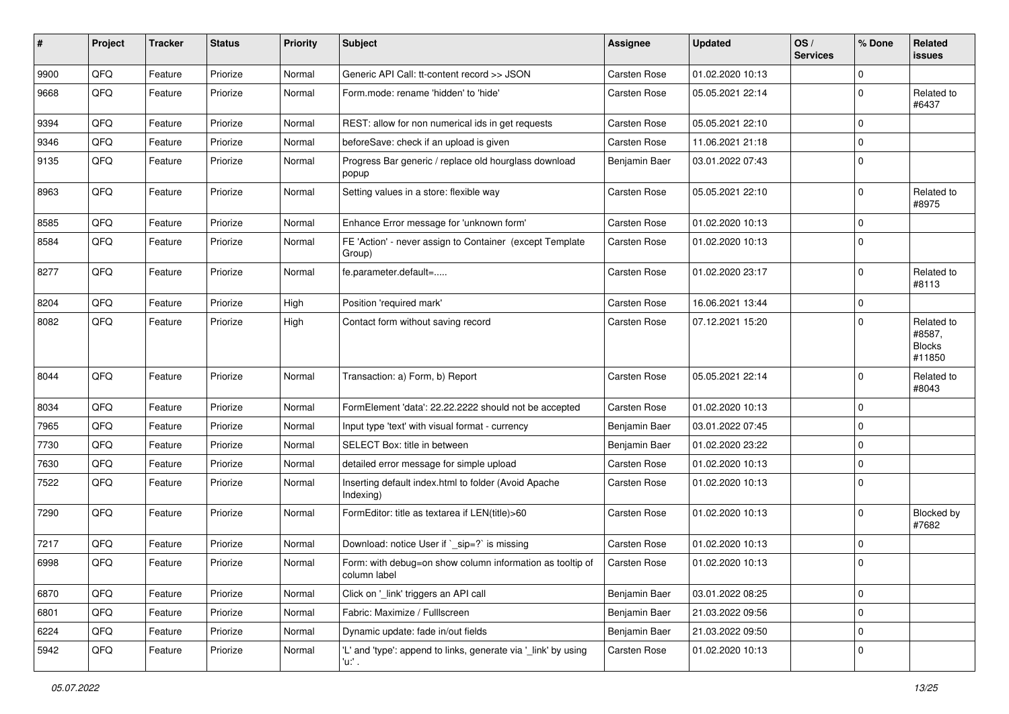| $\pmb{\#}$ | Project | <b>Tracker</b> | <b>Status</b> | <b>Priority</b> | <b>Subject</b>                                                            | <b>Assignee</b> | <b>Updated</b>   | OS/<br><b>Services</b> | % Done      | Related<br><b>issues</b>                        |
|------------|---------|----------------|---------------|-----------------|---------------------------------------------------------------------------|-----------------|------------------|------------------------|-------------|-------------------------------------------------|
| 9900       | QFQ     | Feature        | Priorize      | Normal          | Generic API Call: tt-content record >> JSON                               | Carsten Rose    | 01.02.2020 10:13 |                        | $\mathbf 0$ |                                                 |
| 9668       | QFQ     | Feature        | Priorize      | Normal          | Form.mode: rename 'hidden' to 'hide'                                      | Carsten Rose    | 05.05.2021 22:14 |                        | $\mathbf 0$ | Related to<br>#6437                             |
| 9394       | QFQ     | Feature        | Priorize      | Normal          | REST: allow for non numerical ids in get requests                         | Carsten Rose    | 05.05.2021 22:10 |                        | $\mathbf 0$ |                                                 |
| 9346       | QFQ     | Feature        | Priorize      | Normal          | beforeSave: check if an upload is given                                   | Carsten Rose    | 11.06.2021 21:18 |                        | $\mathbf 0$ |                                                 |
| 9135       | QFQ     | Feature        | Priorize      | Normal          | Progress Bar generic / replace old hourglass download<br>popup            | Benjamin Baer   | 03.01.2022 07:43 |                        | $\Omega$    |                                                 |
| 8963       | QFQ     | Feature        | Priorize      | Normal          | Setting values in a store: flexible way                                   | Carsten Rose    | 05.05.2021 22:10 |                        | $\mathbf 0$ | Related to<br>#8975                             |
| 8585       | QFQ     | Feature        | Priorize      | Normal          | Enhance Error message for 'unknown form'                                  | Carsten Rose    | 01.02.2020 10:13 |                        | 0           |                                                 |
| 8584       | QFQ     | Feature        | Priorize      | Normal          | FE 'Action' - never assign to Container (except Template<br>Group)        | Carsten Rose    | 01.02.2020 10:13 |                        | $\mathbf 0$ |                                                 |
| 8277       | QFQ     | Feature        | Priorize      | Normal          | fe.parameter.default=                                                     | Carsten Rose    | 01.02.2020 23:17 |                        | $\mathbf 0$ | Related to<br>#8113                             |
| 8204       | QFQ     | Feature        | Priorize      | High            | Position 'required mark'                                                  | Carsten Rose    | 16.06.2021 13:44 |                        | $\mathbf 0$ |                                                 |
| 8082       | QFQ     | Feature        | Priorize      | High            | Contact form without saving record                                        | Carsten Rose    | 07.12.2021 15:20 |                        | $\mathbf 0$ | Related to<br>#8587,<br><b>Blocks</b><br>#11850 |
| 8044       | QFQ     | Feature        | Priorize      | Normal          | Transaction: a) Form, b) Report                                           | Carsten Rose    | 05.05.2021 22:14 |                        | $\mathbf 0$ | Related to<br>#8043                             |
| 8034       | QFQ     | Feature        | Priorize      | Normal          | FormElement 'data': 22.22.2222 should not be accepted                     | Carsten Rose    | 01.02.2020 10:13 |                        | $\Omega$    |                                                 |
| 7965       | QFQ     | Feature        | Priorize      | Normal          | Input type 'text' with visual format - currency                           | Benjamin Baer   | 03.01.2022 07:45 |                        | $\Omega$    |                                                 |
| 7730       | QFQ     | Feature        | Priorize      | Normal          | SELECT Box: title in between                                              | Benjamin Baer   | 01.02.2020 23:22 |                        | $\mathbf 0$ |                                                 |
| 7630       | QFQ     | Feature        | Priorize      | Normal          | detailed error message for simple upload                                  | Carsten Rose    | 01.02.2020 10:13 |                        | $\mathbf 0$ |                                                 |
| 7522       | QFQ     | Feature        | Priorize      | Normal          | Inserting default index.html to folder (Avoid Apache<br>Indexing)         | Carsten Rose    | 01.02.2020 10:13 |                        | $\mathbf 0$ |                                                 |
| 7290       | QFQ     | Feature        | Priorize      | Normal          | FormEditor: title as textarea if LEN(title)>60                            | Carsten Rose    | 01.02.2020 10:13 |                        | $\Omega$    | Blocked by<br>#7682                             |
| 7217       | QFQ     | Feature        | Priorize      | Normal          | Download: notice User if `_sip=?` is missing                              | Carsten Rose    | 01.02.2020 10:13 |                        | $\mathbf 0$ |                                                 |
| 6998       | QFQ     | Feature        | Priorize      | Normal          | Form: with debug=on show column information as tooltip of<br>column label | Carsten Rose    | 01.02.2020 10:13 |                        | $\Omega$    |                                                 |
| 6870       | QFQ     | Feature        | Priorize      | Normal          | Click on '_link' triggers an API call                                     | Benjamin Baer   | 03.01.2022 08:25 |                        | $\pmb{0}$   |                                                 |
| 6801       | QFQ     | Feature        | Priorize      | Normal          | Fabric: Maximize / Fulllscreen                                            | Benjamin Baer   | 21.03.2022 09:56 |                        | $\mathbf 0$ |                                                 |
| 6224       | QFQ     | Feature        | Priorize      | Normal          | Dynamic update: fade in/out fields                                        | Benjamin Baer   | 21.03.2022 09:50 |                        | 0           |                                                 |
| 5942       | QFQ     | Feature        | Priorize      | Normal          | 'L' and 'type': append to links, generate via '_link' by using<br>'u:' .  | Carsten Rose    | 01.02.2020 10:13 |                        | $\pmb{0}$   |                                                 |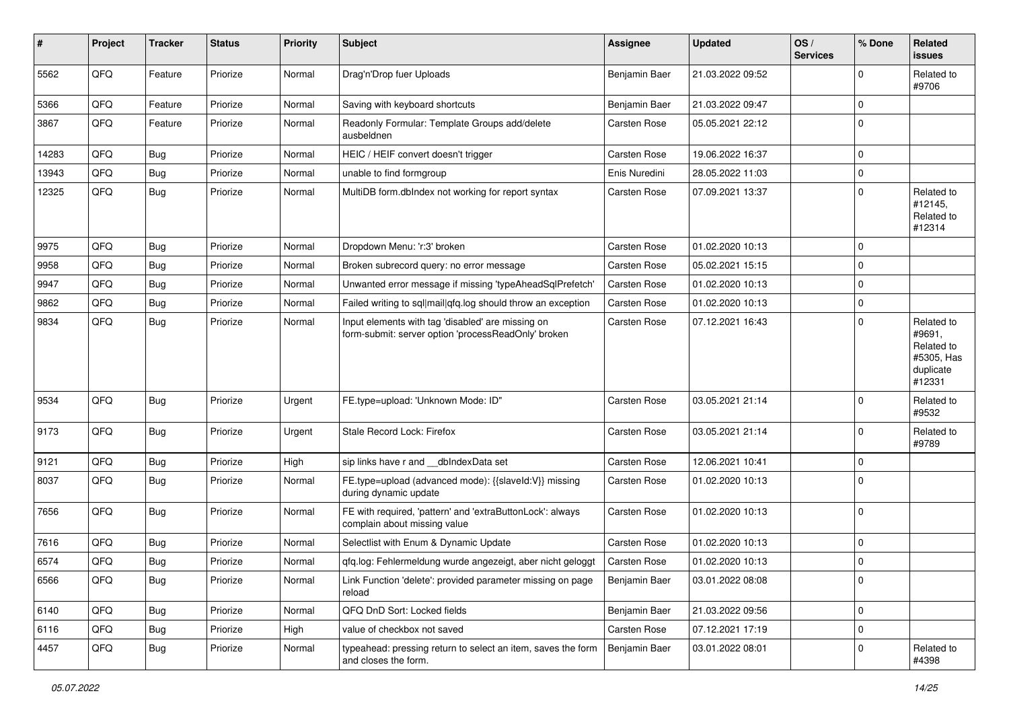| ∦     | Project | <b>Tracker</b> | <b>Status</b> | <b>Priority</b> | <b>Subject</b>                                                                                           | <b>Assignee</b> | <b>Updated</b>   | OS/<br><b>Services</b> | % Done      | Related<br>issues                                                       |
|-------|---------|----------------|---------------|-----------------|----------------------------------------------------------------------------------------------------------|-----------------|------------------|------------------------|-------------|-------------------------------------------------------------------------|
| 5562  | QFQ     | Feature        | Priorize      | Normal          | Drag'n'Drop fuer Uploads                                                                                 | Benjamin Baer   | 21.03.2022 09:52 |                        | 0           | Related to<br>#9706                                                     |
| 5366  | QFQ     | Feature        | Priorize      | Normal          | Saving with keyboard shortcuts                                                                           | Benjamin Baer   | 21.03.2022 09:47 |                        | $\mathbf 0$ |                                                                         |
| 3867  | QFQ     | Feature        | Priorize      | Normal          | Readonly Formular: Template Groups add/delete<br>ausbeldnen                                              | Carsten Rose    | 05.05.2021 22:12 |                        | $\Omega$    |                                                                         |
| 14283 | QFQ     | Bug            | Priorize      | Normal          | HEIC / HEIF convert doesn't trigger                                                                      | Carsten Rose    | 19.06.2022 16:37 |                        | $\Omega$    |                                                                         |
| 13943 | QFQ     | <b>Bug</b>     | Priorize      | Normal          | unable to find formgroup                                                                                 | Enis Nuredini   | 28.05.2022 11:03 |                        | 0           |                                                                         |
| 12325 | QFQ     | Bug            | Priorize      | Normal          | MultiDB form.dblndex not working for report syntax                                                       | Carsten Rose    | 07.09.2021 13:37 |                        | $\Omega$    | Related to<br>#12145,<br>Related to<br>#12314                           |
| 9975  | QFQ     | Bug            | Priorize      | Normal          | Dropdown Menu: 'r:3' broken                                                                              | Carsten Rose    | 01.02.2020 10:13 |                        | $\Omega$    |                                                                         |
| 9958  | QFQ     | Bug            | Priorize      | Normal          | Broken subrecord query: no error message                                                                 | Carsten Rose    | 05.02.2021 15:15 |                        | $\mathbf 0$ |                                                                         |
| 9947  | QFQ     | Bug            | Priorize      | Normal          | Unwanted error message if missing 'typeAheadSqlPrefetch'                                                 | Carsten Rose    | 01.02.2020 10:13 |                        | $\Omega$    |                                                                         |
| 9862  | QFQ     | Bug            | Priorize      | Normal          | Failed writing to sql mail qfq.log should throw an exception                                             | Carsten Rose    | 01.02.2020 10:13 |                        | 0           |                                                                         |
| 9834  | QFQ     | <b>Bug</b>     | Priorize      | Normal          | Input elements with tag 'disabled' are missing on<br>form-submit: server option 'processReadOnly' broken | Carsten Rose    | 07.12.2021 16:43 |                        | $\Omega$    | Related to<br>#9691,<br>Related to<br>#5305, Has<br>duplicate<br>#12331 |
| 9534  | QFQ     | <b>Bug</b>     | Priorize      | Urgent          | FE.type=upload: 'Unknown Mode: ID"                                                                       | Carsten Rose    | 03.05.2021 21:14 |                        | $\Omega$    | Related to<br>#9532                                                     |
| 9173  | QFQ     | <b>Bug</b>     | Priorize      | Urgent          | Stale Record Lock: Firefox                                                                               | Carsten Rose    | 03.05.2021 21:14 |                        | $\mathbf 0$ | Related to<br>#9789                                                     |
| 9121  | QFQ     | Bug            | Priorize      | High            | sip links have r and __dbIndexData set                                                                   | Carsten Rose    | 12.06.2021 10:41 |                        | 0           |                                                                         |
| 8037  | QFQ     | <b>Bug</b>     | Priorize      | Normal          | FE.type=upload (advanced mode): {{slaveld:V}} missing<br>during dynamic update                           | Carsten Rose    | 01.02.2020 10:13 |                        | $\Omega$    |                                                                         |
| 7656  | QFQ     | Bug            | Priorize      | Normal          | FE with required, 'pattern' and 'extraButtonLock': always<br>complain about missing value                | Carsten Rose    | 01.02.2020 10:13 |                        | $\Omega$    |                                                                         |
| 7616  | QFQ     | Bug            | Priorize      | Normal          | Selectlist with Enum & Dynamic Update                                                                    | Carsten Rose    | 01.02.2020 10:13 |                        | $\mathbf 0$ |                                                                         |
| 6574  | QFQ     | <b>Bug</b>     | Priorize      | Normal          | gfg.log: Fehlermeldung wurde angezeigt, aber nicht geloggt                                               | Carsten Rose    | 01.02.2020 10:13 |                        | 0           |                                                                         |
| 6566  | QFO     | <b>Bug</b>     | Priorize      | Normal          | Link Function 'delete': provided parameter missing on page<br>reload                                     | Benjamin Baer   | 03.01.2022 08:08 |                        | 0           |                                                                         |
| 6140  | QFQ     | <b>Bug</b>     | Priorize      | Normal          | QFQ DnD Sort: Locked fields                                                                              | Benjamin Baer   | 21.03.2022 09:56 |                        | 0           |                                                                         |
| 6116  | QFQ     | <b>Bug</b>     | Priorize      | High            | value of checkbox not saved                                                                              | Carsten Rose    | 07.12.2021 17:19 |                        | 0           |                                                                         |
| 4457  | QFQ     | <b>Bug</b>     | Priorize      | Normal          | typeahead: pressing return to select an item, saves the form<br>and closes the form.                     | Benjamin Baer   | 03.01.2022 08:01 |                        | 0           | Related to<br>#4398                                                     |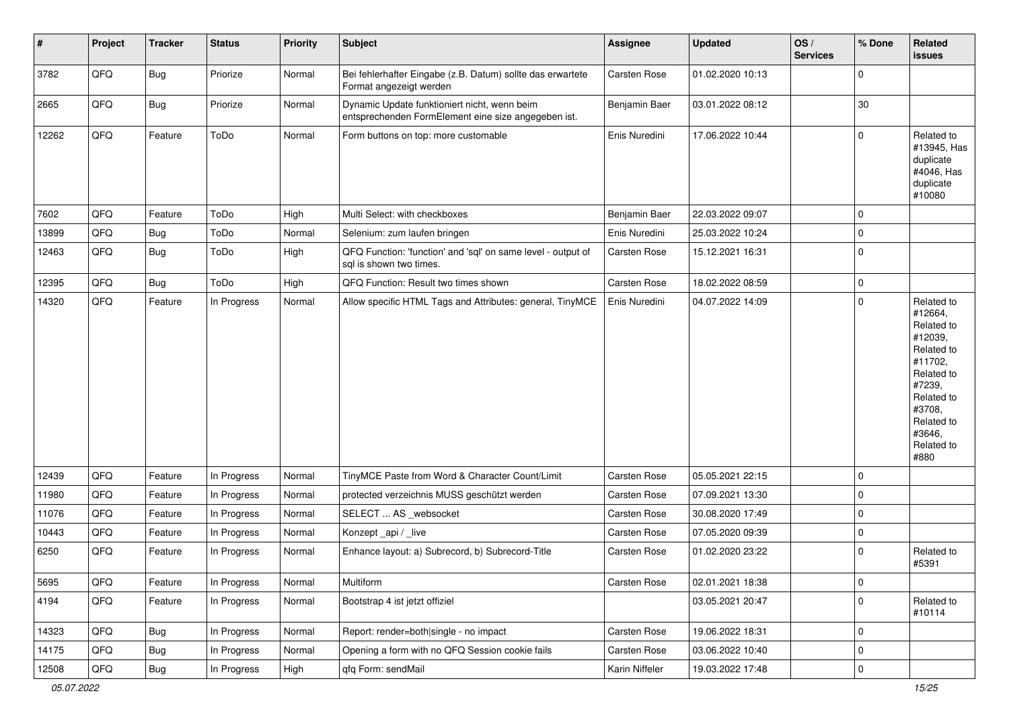| #     | Project | <b>Tracker</b> | <b>Status</b> | <b>Priority</b> | <b>Subject</b>                                                                                      | <b>Assignee</b> | <b>Updated</b>   | OS/<br><b>Services</b> | % Done      | Related<br>issues                                                                                                                                                     |
|-------|---------|----------------|---------------|-----------------|-----------------------------------------------------------------------------------------------------|-----------------|------------------|------------------------|-------------|-----------------------------------------------------------------------------------------------------------------------------------------------------------------------|
| 3782  | QFQ     | <b>Bug</b>     | Priorize      | Normal          | Bei fehlerhafter Eingabe (z.B. Datum) sollte das erwartete<br>Format angezeigt werden               | Carsten Rose    | 01.02.2020 10:13 |                        | $\mathbf 0$ |                                                                                                                                                                       |
| 2665  | QFQ     | <b>Bug</b>     | Priorize      | Normal          | Dynamic Update funktioniert nicht, wenn beim<br>entsprechenden FormElement eine size angegeben ist. | Benjamin Baer   | 03.01.2022 08:12 |                        | 30          |                                                                                                                                                                       |
| 12262 | QFQ     | Feature        | ToDo          | Normal          | Form buttons on top: more customable                                                                | Enis Nuredini   | 17.06.2022 10:44 |                        | $\Omega$    | Related to<br>#13945, Has<br>duplicate<br>#4046, Has<br>duplicate<br>#10080                                                                                           |
| 7602  | QFQ     | Feature        | ToDo          | High            | Multi Select: with checkboxes                                                                       | Benjamin Baer   | 22.03.2022 09:07 |                        | $\mathbf 0$ |                                                                                                                                                                       |
| 13899 | QFQ     | <b>Bug</b>     | ToDo          | Normal          | Selenium: zum laufen bringen                                                                        | Enis Nuredini   | 25.03.2022 10:24 |                        | $\mathbf 0$ |                                                                                                                                                                       |
| 12463 | QFQ     | <b>Bug</b>     | ToDo          | High            | QFQ Function: 'function' and 'sql' on same level - output of<br>sql is shown two times.             | Carsten Rose    | 15.12.2021 16:31 |                        | $\mathbf 0$ |                                                                                                                                                                       |
| 12395 | QFQ     | Bug            | ToDo          | High            | QFQ Function: Result two times shown                                                                | Carsten Rose    | 18.02.2022 08:59 |                        | $\mathbf 0$ |                                                                                                                                                                       |
| 14320 | QFQ     | Feature        | In Progress   | Normal          | Allow specific HTML Tags and Attributes: general, TinyMCE                                           | Enis Nuredini   | 04.07.2022 14:09 |                        | $\mathbf 0$ | Related to<br>#12664,<br>Related to<br>#12039,<br>Related to<br>#11702,<br>Related to<br>#7239,<br>Related to<br>#3708,<br>Related to<br>#3646,<br>Related to<br>#880 |
| 12439 | QFQ     | Feature        | In Progress   | Normal          | TinyMCE Paste from Word & Character Count/Limit                                                     | Carsten Rose    | 05.05.2021 22:15 |                        | $\mathbf 0$ |                                                                                                                                                                       |
| 11980 | QFQ     | Feature        | In Progress   | Normal          | protected verzeichnis MUSS geschützt werden                                                         | Carsten Rose    | 07.09.2021 13:30 |                        | 0           |                                                                                                                                                                       |
| 11076 | QFQ     | Feature        | In Progress   | Normal          | SELECT  AS _websocket                                                                               | Carsten Rose    | 30.08.2020 17:49 |                        | $\mathbf 0$ |                                                                                                                                                                       |
| 10443 | QFQ     | Feature        | In Progress   | Normal          | Konzept_api / _live                                                                                 | Carsten Rose    | 07.05.2020 09:39 |                        | 0           |                                                                                                                                                                       |
| 6250  | QFQ     | Feature        | In Progress   | Normal          | Enhance layout: a) Subrecord, b) Subrecord-Title                                                    | Carsten Rose    | 01.02.2020 23:22 |                        | $\Omega$    | Related to<br>#5391                                                                                                                                                   |
| 5695  | QFQ     | Feature        | In Progress   | Normal          | Multiform                                                                                           | Carsten Rose    | 02.01.2021 18:38 |                        | $\mathbf 0$ |                                                                                                                                                                       |
| 4194  | QFQ     | Feature        | In Progress   | Normal          | Bootstrap 4 ist jetzt offiziel                                                                      |                 | 03.05.2021 20:47 |                        | $\mathbf 0$ | Related to<br>#10114                                                                                                                                                  |
| 14323 | QFQ     | Bug            | In Progress   | Normal          | Report: render=both single - no impact                                                              | Carsten Rose    | 19.06.2022 18:31 |                        | 0           |                                                                                                                                                                       |
| 14175 | QFQ     | <b>Bug</b>     | In Progress   | Normal          | Opening a form with no QFQ Session cookie fails                                                     | Carsten Rose    | 03.06.2022 10:40 |                        | $\pmb{0}$   |                                                                                                                                                                       |
| 12508 | QFQ     | <b>Bug</b>     | In Progress   | High            | qfq Form: sendMail                                                                                  | Karin Niffeler  | 19.03.2022 17:48 |                        | $\mathbf 0$ |                                                                                                                                                                       |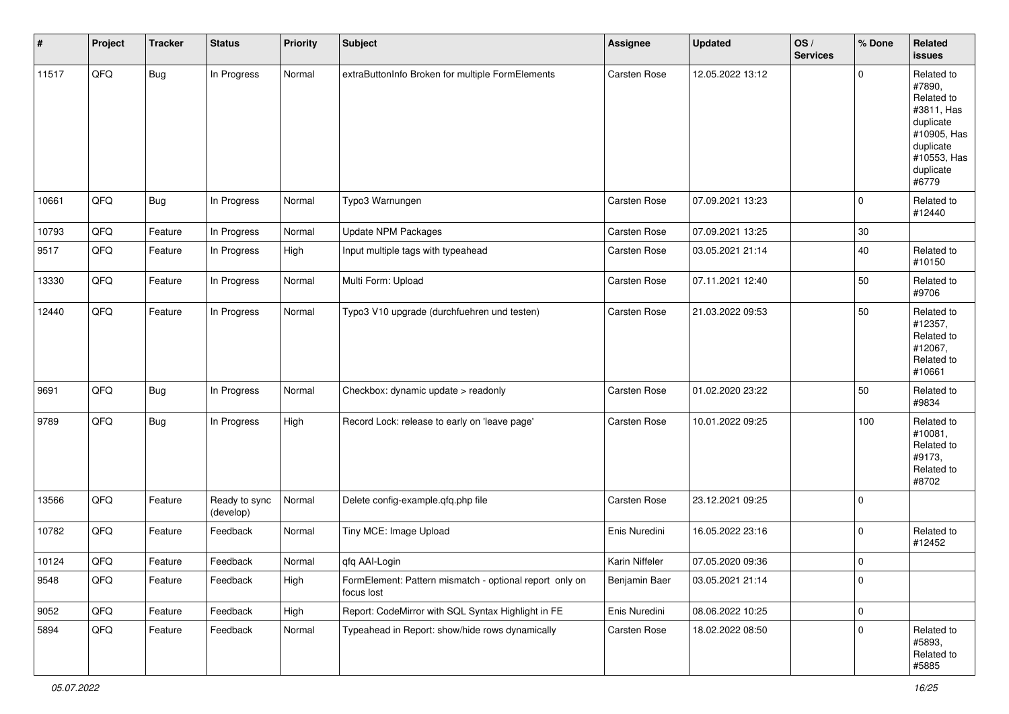| $\vert$ # | Project | <b>Tracker</b> | <b>Status</b>              | <b>Priority</b> | <b>Subject</b>                                                        | <b>Assignee</b> | <b>Updated</b>   | OS/<br><b>Services</b> | % Done      | Related<br>issues                                                                                                              |
|-----------|---------|----------------|----------------------------|-----------------|-----------------------------------------------------------------------|-----------------|------------------|------------------------|-------------|--------------------------------------------------------------------------------------------------------------------------------|
| 11517     | QFQ     | <b>Bug</b>     | In Progress                | Normal          | extraButtonInfo Broken for multiple FormElements                      | Carsten Rose    | 12.05.2022 13:12 |                        | 0           | Related to<br>#7890,<br>Related to<br>#3811, Has<br>duplicate<br>#10905, Has<br>duplicate<br>#10553, Has<br>duplicate<br>#6779 |
| 10661     | QFQ     | <b>Bug</b>     | In Progress                | Normal          | Typo3 Warnungen                                                       | Carsten Rose    | 07.09.2021 13:23 |                        | 0           | Related to<br>#12440                                                                                                           |
| 10793     | QFQ     | Feature        | In Progress                | Normal          | <b>Update NPM Packages</b>                                            | Carsten Rose    | 07.09.2021 13:25 |                        | 30          |                                                                                                                                |
| 9517      | QFQ     | Feature        | In Progress                | High            | Input multiple tags with typeahead                                    | Carsten Rose    | 03.05.2021 21:14 |                        | 40          | Related to<br>#10150                                                                                                           |
| 13330     | QFQ     | Feature        | In Progress                | Normal          | Multi Form: Upload                                                    | Carsten Rose    | 07.11.2021 12:40 |                        | 50          | Related to<br>#9706                                                                                                            |
| 12440     | QFQ     | Feature        | In Progress                | Normal          | Typo3 V10 upgrade (durchfuehren und testen)                           | Carsten Rose    | 21.03.2022 09:53 |                        | 50          | Related to<br>#12357,<br>Related to<br>#12067,<br>Related to<br>#10661                                                         |
| 9691      | QFQ     | <b>Bug</b>     | In Progress                | Normal          | Checkbox: dynamic update > readonly                                   | Carsten Rose    | 01.02.2020 23:22 |                        | 50          | Related to<br>#9834                                                                                                            |
| 9789      | QFQ     | Bug            | In Progress                | High            | Record Lock: release to early on 'leave page'                         | Carsten Rose    | 10.01.2022 09:25 |                        | 100         | Related to<br>#10081,<br>Related to<br>#9173,<br>Related to<br>#8702                                                           |
| 13566     | QFQ     | Feature        | Ready to sync<br>(develop) | Normal          | Delete config-example.qfq.php file                                    | Carsten Rose    | 23.12.2021 09:25 |                        | $\mathbf 0$ |                                                                                                                                |
| 10782     | QFQ     | Feature        | Feedback                   | Normal          | Tiny MCE: Image Upload                                                | Enis Nuredini   | 16.05.2022 23:16 |                        | 0           | Related to<br>#12452                                                                                                           |
| 10124     | QFQ     | Feature        | Feedback                   | Normal          | qfq AAI-Login                                                         | Karin Niffeler  | 07.05.2020 09:36 |                        | 0           |                                                                                                                                |
| 9548      | QFG     | Feature        | Feedback                   | High            | FormElement: Pattern mismatch - optional report only on<br>focus lost | Benjamin Baer   | 03.05.2021 21:14 |                        | 0           |                                                                                                                                |
| 9052      | QFQ     | Feature        | Feedback                   | High            | Report: CodeMirror with SQL Syntax Highlight in FE                    | Enis Nuredini   | 08.06.2022 10:25 |                        | $\mathbf 0$ |                                                                                                                                |
| 5894      | QFQ     | Feature        | Feedback                   | Normal          | Typeahead in Report: show/hide rows dynamically                       | Carsten Rose    | 18.02.2022 08:50 |                        | 0           | Related to<br>#5893,<br>Related to<br>#5885                                                                                    |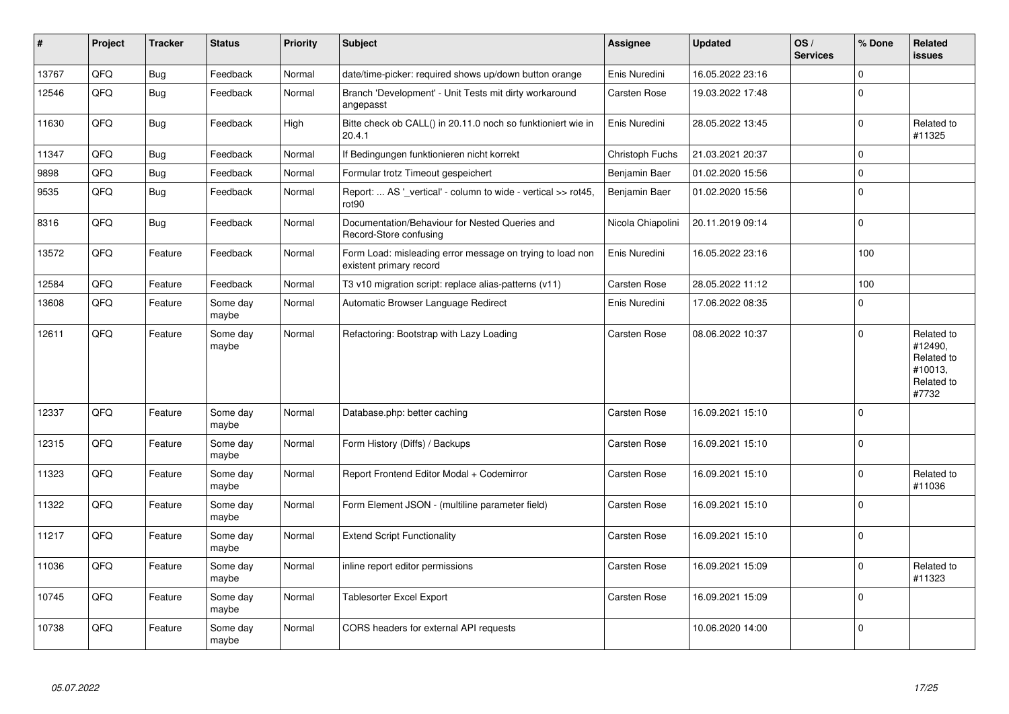| $\pmb{\sharp}$ | Project | <b>Tracker</b> | <b>Status</b>     | <b>Priority</b> | <b>Subject</b>                                                                       | Assignee          | <b>Updated</b>   | OS/<br><b>Services</b> | % Done      | Related<br><b>issues</b>                                              |
|----------------|---------|----------------|-------------------|-----------------|--------------------------------------------------------------------------------------|-------------------|------------------|------------------------|-------------|-----------------------------------------------------------------------|
| 13767          | QFQ     | <b>Bug</b>     | Feedback          | Normal          | date/time-picker: required shows up/down button orange                               | Enis Nuredini     | 16.05.2022 23:16 |                        | $\Omega$    |                                                                       |
| 12546          | QFQ     | <b>Bug</b>     | Feedback          | Normal          | Branch 'Development' - Unit Tests mit dirty workaround<br>angepasst                  | Carsten Rose      | 19.03.2022 17:48 |                        | $\Omega$    |                                                                       |
| 11630          | QFQ     | <b>Bug</b>     | Feedback          | High            | Bitte check ob CALL() in 20.11.0 noch so funktioniert wie in<br>20.4.1               | Enis Nuredini     | 28.05.2022 13:45 |                        | $\Omega$    | Related to<br>#11325                                                  |
| 11347          | QFQ     | <b>Bug</b>     | Feedback          | Normal          | If Bedingungen funktionieren nicht korrekt                                           | Christoph Fuchs   | 21.03.2021 20:37 |                        | $\mathbf 0$ |                                                                       |
| 9898           | QFQ     | <b>Bug</b>     | Feedback          | Normal          | Formular trotz Timeout gespeichert                                                   | Benjamin Baer     | 01.02.2020 15:56 |                        | $\mathbf 0$ |                                                                       |
| 9535           | QFQ     | <b>Bug</b>     | Feedback          | Normal          | Report:  AS ' vertical' - column to wide - vertical >> rot45,<br>rot <sub>90</sub>   | Benjamin Baer     | 01.02.2020 15:56 |                        | $\mathbf 0$ |                                                                       |
| 8316           | QFQ     | <b>Bug</b>     | Feedback          | Normal          | Documentation/Behaviour for Nested Queries and<br>Record-Store confusing             | Nicola Chiapolini | 20.11.2019 09:14 |                        | $\mathbf 0$ |                                                                       |
| 13572          | QFQ     | Feature        | Feedback          | Normal          | Form Load: misleading error message on trying to load non<br>existent primary record | Enis Nuredini     | 16.05.2022 23:16 |                        | 100         |                                                                       |
| 12584          | QFQ     | Feature        | Feedback          | Normal          | T3 v10 migration script: replace alias-patterns (v11)                                | Carsten Rose      | 28.05.2022 11:12 |                        | 100         |                                                                       |
| 13608          | QFQ     | Feature        | Some day<br>maybe | Normal          | Automatic Browser Language Redirect                                                  | Enis Nuredini     | 17.06.2022 08:35 |                        | $\Omega$    |                                                                       |
| 12611          | QFQ     | Feature        | Some day<br>maybe | Normal          | Refactoring: Bootstrap with Lazy Loading                                             | Carsten Rose      | 08.06.2022 10:37 |                        | $\mathbf 0$ | Related to<br>#12490,<br>Related to<br>#10013,<br>Related to<br>#7732 |
| 12337          | QFQ     | Feature        | Some day<br>maybe | Normal          | Database.php: better caching                                                         | Carsten Rose      | 16.09.2021 15:10 |                        | $\Omega$    |                                                                       |
| 12315          | QFQ     | Feature        | Some day<br>maybe | Normal          | Form History (Diffs) / Backups                                                       | Carsten Rose      | 16.09.2021 15:10 |                        | $\mathbf 0$ |                                                                       |
| 11323          | QFQ     | Feature        | Some day<br>maybe | Normal          | Report Frontend Editor Modal + Codemirror                                            | Carsten Rose      | 16.09.2021 15:10 |                        | $\pmb{0}$   | Related to<br>#11036                                                  |
| 11322          | QFQ     | Feature        | Some day<br>maybe | Normal          | Form Element JSON - (multiline parameter field)                                      | Carsten Rose      | 16.09.2021 15:10 |                        | $\Omega$    |                                                                       |
| 11217          | QFQ     | Feature        | Some day<br>maybe | Normal          | <b>Extend Script Functionality</b>                                                   | Carsten Rose      | 16.09.2021 15:10 |                        | $\mathbf 0$ |                                                                       |
| 11036          | QFQ     | Feature        | Some day<br>maybe | Normal          | inline report editor permissions                                                     | Carsten Rose      | 16.09.2021 15:09 |                        | $\Omega$    | Related to<br>#11323                                                  |
| 10745          | QFQ     | Feature        | Some day<br>maybe | Normal          | Tablesorter Excel Export                                                             | Carsten Rose      | 16.09.2021 15:09 |                        | $\mathbf 0$ |                                                                       |
| 10738          | QFQ     | Feature        | Some day<br>maybe | Normal          | CORS headers for external API requests                                               |                   | 10.06.2020 14:00 |                        | $\Omega$    |                                                                       |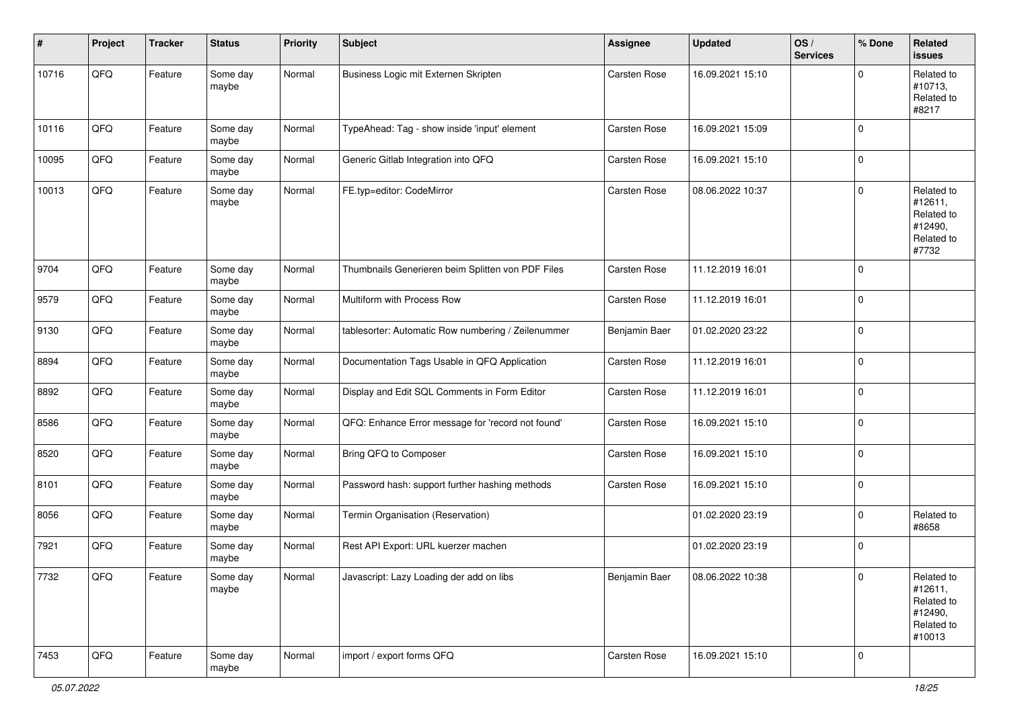| #     | Project | <b>Tracker</b> | <b>Status</b>     | <b>Priority</b> | Subject                                            | <b>Assignee</b> | <b>Updated</b>   | OS/<br><b>Services</b> | % Done | Related<br><b>issues</b>                                               |
|-------|---------|----------------|-------------------|-----------------|----------------------------------------------------|-----------------|------------------|------------------------|--------|------------------------------------------------------------------------|
| 10716 | QFQ     | Feature        | Some day<br>maybe | Normal          | Business Logic mit Externen Skripten               | Carsten Rose    | 16.09.2021 15:10 |                        | 0      | Related to<br>#10713,<br>Related to<br>#8217                           |
| 10116 | QFQ     | Feature        | Some day<br>maybe | Normal          | TypeAhead: Tag - show inside 'input' element       | Carsten Rose    | 16.09.2021 15:09 |                        | 0      |                                                                        |
| 10095 | QFQ     | Feature        | Some day<br>maybe | Normal          | Generic Gitlab Integration into QFQ                | Carsten Rose    | 16.09.2021 15:10 |                        | 0      |                                                                        |
| 10013 | QFQ     | Feature        | Some day<br>maybe | Normal          | FE.typ=editor: CodeMirror                          | Carsten Rose    | 08.06.2022 10:37 |                        | 0      | Related to<br>#12611,<br>Related to<br>#12490,<br>Related to<br>#7732  |
| 9704  | QFQ     | Feature        | Some day<br>maybe | Normal          | Thumbnails Generieren beim Splitten von PDF Files  | Carsten Rose    | 11.12.2019 16:01 |                        | 0      |                                                                        |
| 9579  | QFQ     | Feature        | Some day<br>maybe | Normal          | Multiform with Process Row                         | Carsten Rose    | 11.12.2019 16:01 |                        | 0      |                                                                        |
| 9130  | QFQ     | Feature        | Some day<br>maybe | Normal          | tablesorter: Automatic Row numbering / Zeilenummer | Benjamin Baer   | 01.02.2020 23:22 |                        | 0      |                                                                        |
| 8894  | QFQ     | Feature        | Some day<br>maybe | Normal          | Documentation Tags Usable in QFQ Application       | Carsten Rose    | 11.12.2019 16:01 |                        | 0      |                                                                        |
| 8892  | QFQ     | Feature        | Some day<br>maybe | Normal          | Display and Edit SQL Comments in Form Editor       | Carsten Rose    | 11.12.2019 16:01 |                        | 0      |                                                                        |
| 8586  | QFQ     | Feature        | Some day<br>maybe | Normal          | QFQ: Enhance Error message for 'record not found'  | Carsten Rose    | 16.09.2021 15:10 |                        | 0      |                                                                        |
| 8520  | QFQ     | Feature        | Some day<br>maybe | Normal          | Bring QFQ to Composer                              | Carsten Rose    | 16.09.2021 15:10 |                        | 0      |                                                                        |
| 8101  | QFG     | Feature        | Some day<br>maybe | Normal          | Password hash: support further hashing methods     | Carsten Rose    | 16.09.2021 15:10 |                        | 0      |                                                                        |
| 8056  | QFQ     | Feature        | Some day<br>maybe | Normal          | Termin Organisation (Reservation)                  |                 | 01.02.2020 23:19 |                        | 0      | Related to<br>#8658                                                    |
| 7921  | QFQ     | Feature        | Some day<br>maybe | Normal          | Rest API Export: URL kuerzer machen                |                 | 01.02.2020 23:19 |                        | 0      |                                                                        |
| 7732  | QFQ     | Feature        | Some day<br>maybe | Normal          | Javascript: Lazy Loading der add on libs           | Benjamin Baer   | 08.06.2022 10:38 |                        | 0      | Related to<br>#12611,<br>Related to<br>#12490,<br>Related to<br>#10013 |
| 7453  | QFG     | Feature        | Some day<br>maybe | Normal          | import / export forms QFQ                          | Carsten Rose    | 16.09.2021 15:10 |                        | 0      |                                                                        |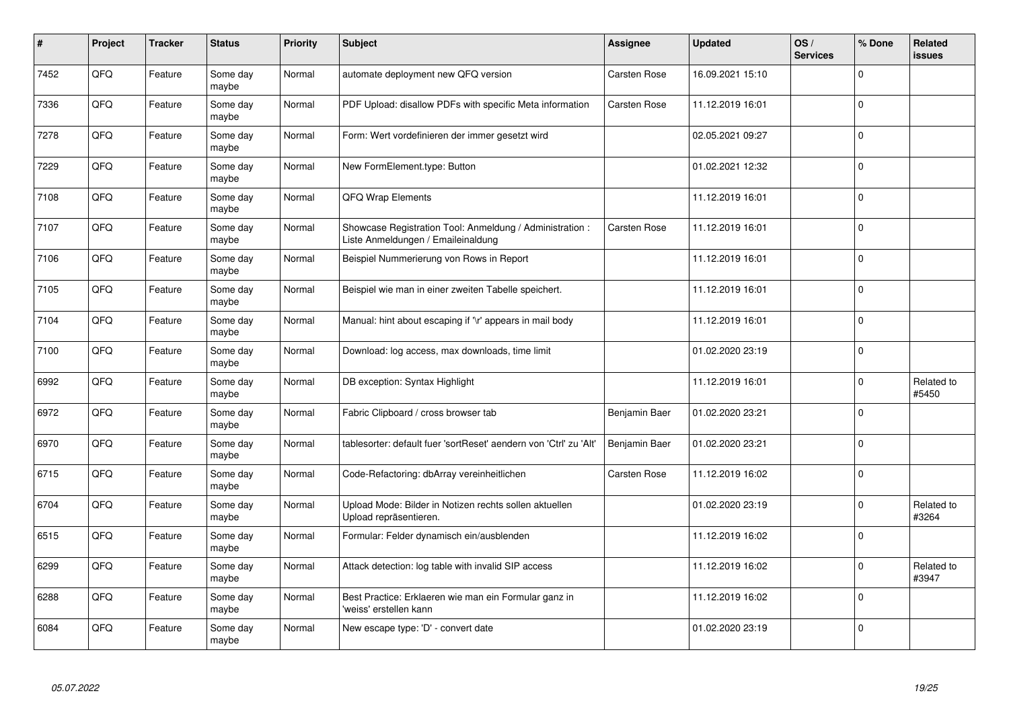| #    | Project | <b>Tracker</b> | <b>Status</b>     | <b>Priority</b> | <b>Subject</b>                                                                                 | <b>Assignee</b>     | <b>Updated</b>   | OS/<br><b>Services</b> | % Done      | Related<br><b>issues</b> |
|------|---------|----------------|-------------------|-----------------|------------------------------------------------------------------------------------------------|---------------------|------------------|------------------------|-------------|--------------------------|
| 7452 | QFQ     | Feature        | Some day<br>maybe | Normal          | automate deployment new QFQ version                                                            | <b>Carsten Rose</b> | 16.09.2021 15:10 |                        | $\Omega$    |                          |
| 7336 | QFQ     | Feature        | Some day<br>maybe | Normal          | PDF Upload: disallow PDFs with specific Meta information                                       | Carsten Rose        | 11.12.2019 16:01 |                        | $\mathbf 0$ |                          |
| 7278 | QFQ     | Feature        | Some day<br>maybe | Normal          | Form: Wert vordefinieren der immer gesetzt wird                                                |                     | 02.05.2021 09:27 |                        | $\mathbf 0$ |                          |
| 7229 | QFQ     | Feature        | Some day<br>maybe | Normal          | New FormElement.type: Button                                                                   |                     | 01.02.2021 12:32 |                        | $\mathbf 0$ |                          |
| 7108 | QFQ     | Feature        | Some day<br>maybe | Normal          | <b>QFQ Wrap Elements</b>                                                                       |                     | 11.12.2019 16:01 |                        | $\Omega$    |                          |
| 7107 | QFQ     | Feature        | Some dav<br>maybe | Normal          | Showcase Registration Tool: Anmeldung / Administration :<br>Liste Anmeldungen / Emaileinaldung | <b>Carsten Rose</b> | 11.12.2019 16:01 |                        | $\mathbf 0$ |                          |
| 7106 | QFQ     | Feature        | Some day<br>maybe | Normal          | Beispiel Nummerierung von Rows in Report                                                       |                     | 11.12.2019 16:01 |                        | $\mathbf 0$ |                          |
| 7105 | QFQ     | Feature        | Some day<br>maybe | Normal          | Beispiel wie man in einer zweiten Tabelle speichert.                                           |                     | 11.12.2019 16:01 |                        | $\Omega$    |                          |
| 7104 | QFQ     | Feature        | Some day<br>maybe | Normal          | Manual: hint about escaping if '\r' appears in mail body                                       |                     | 11.12.2019 16:01 |                        | $\mathbf 0$ |                          |
| 7100 | QFQ     | Feature        | Some day<br>maybe | Normal          | Download: log access, max downloads, time limit                                                |                     | 01.02.2020 23:19 |                        | $\mathbf 0$ |                          |
| 6992 | QFQ     | Feature        | Some day<br>maybe | Normal          | DB exception: Syntax Highlight                                                                 |                     | 11.12.2019 16:01 |                        | $\mathbf 0$ | Related to<br>#5450      |
| 6972 | QFQ     | Feature        | Some day<br>maybe | Normal          | Fabric Clipboard / cross browser tab                                                           | Benjamin Baer       | 01.02.2020 23:21 |                        | $\mathbf 0$ |                          |
| 6970 | QFQ     | Feature        | Some day<br>maybe | Normal          | tablesorter: default fuer 'sortReset' aendern von 'Ctrl' zu 'Alt'                              | Benjamin Baer       | 01.02.2020 23:21 |                        | $\pmb{0}$   |                          |
| 6715 | QFQ     | Feature        | Some day<br>maybe | Normal          | Code-Refactoring: dbArray vereinheitlichen                                                     | <b>Carsten Rose</b> | 11.12.2019 16:02 |                        | $\mathbf 0$ |                          |
| 6704 | QFQ     | Feature        | Some day<br>maybe | Normal          | Upload Mode: Bilder in Notizen rechts sollen aktuellen<br>Upload repräsentieren.               |                     | 01.02.2020 23:19 |                        | $\mathbf 0$ | Related to<br>#3264      |
| 6515 | QFQ     | Feature        | Some day<br>maybe | Normal          | Formular: Felder dynamisch ein/ausblenden                                                      |                     | 11.12.2019 16:02 |                        | $\pmb{0}$   |                          |
| 6299 | QFQ     | Feature        | Some day<br>maybe | Normal          | Attack detection: log table with invalid SIP access                                            |                     | 11.12.2019 16:02 |                        | $\mathbf 0$ | Related to<br>#3947      |
| 6288 | QFQ     | Feature        | Some day<br>maybe | Normal          | Best Practice: Erklaeren wie man ein Formular ganz in<br>'weiss' erstellen kann                |                     | 11.12.2019 16:02 |                        | $\pmb{0}$   |                          |
| 6084 | QFQ     | Feature        | Some day<br>maybe | Normal          | New escape type: 'D' - convert date                                                            |                     | 01.02.2020 23:19 |                        | $\mathbf 0$ |                          |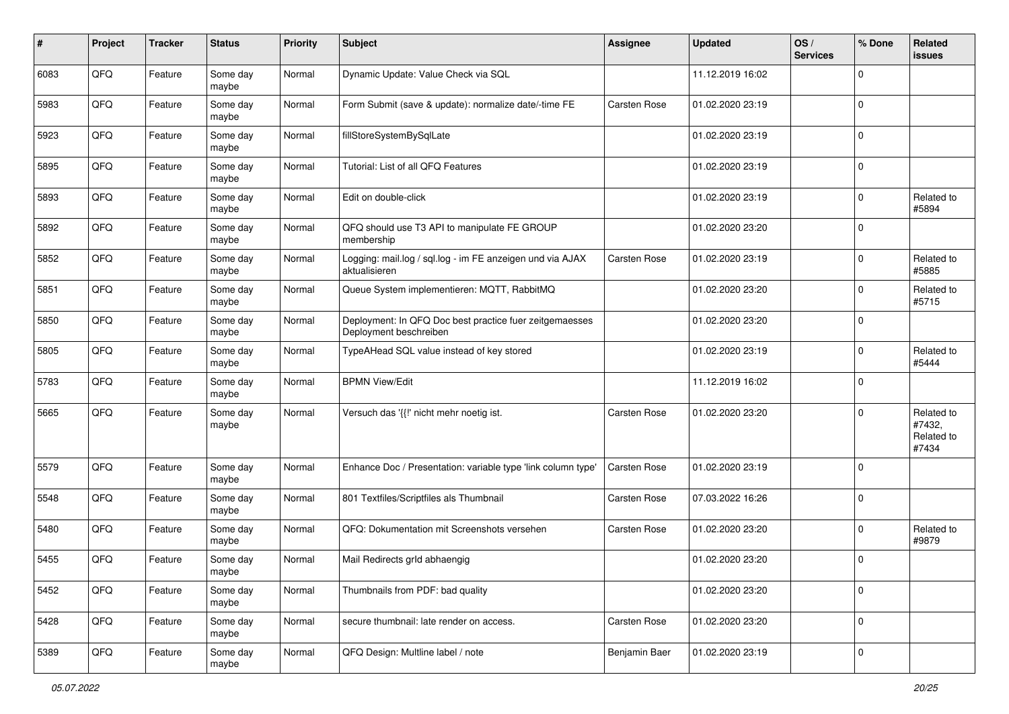| #    | Project | <b>Tracker</b> | <b>Status</b>     | <b>Priority</b> | <b>Subject</b>                                                                    | <b>Assignee</b> | <b>Updated</b>   | OS/<br><b>Services</b> | % Done      | Related<br>issues                           |
|------|---------|----------------|-------------------|-----------------|-----------------------------------------------------------------------------------|-----------------|------------------|------------------------|-------------|---------------------------------------------|
| 6083 | QFQ     | Feature        | Some day<br>maybe | Normal          | Dynamic Update: Value Check via SQL                                               |                 | 11.12.2019 16:02 |                        | $\Omega$    |                                             |
| 5983 | QFQ     | Feature        | Some day<br>maybe | Normal          | Form Submit (save & update): normalize date/-time FE                              | Carsten Rose    | 01.02.2020 23:19 |                        | $\Omega$    |                                             |
| 5923 | QFQ     | Feature        | Some day<br>maybe | Normal          | fillStoreSystemBySqlLate                                                          |                 | 01.02.2020 23:19 |                        | $\Omega$    |                                             |
| 5895 | QFQ     | Feature        | Some day<br>maybe | Normal          | Tutorial: List of all QFQ Features                                                |                 | 01.02.2020 23:19 |                        | $\Omega$    |                                             |
| 5893 | QFQ     | Feature        | Some day<br>maybe | Normal          | Edit on double-click                                                              |                 | 01.02.2020 23:19 |                        | $\Omega$    | Related to<br>#5894                         |
| 5892 | QFQ     | Feature        | Some day<br>maybe | Normal          | QFQ should use T3 API to manipulate FE GROUP<br>membership                        |                 | 01.02.2020 23:20 |                        | $\Omega$    |                                             |
| 5852 | QFQ     | Feature        | Some day<br>maybe | Normal          | Logging: mail.log / sql.log - im FE anzeigen und via AJAX<br>aktualisieren        | Carsten Rose    | 01.02.2020 23:19 |                        | $\Omega$    | Related to<br>#5885                         |
| 5851 | QFQ     | Feature        | Some day<br>maybe | Normal          | Queue System implementieren: MQTT, RabbitMQ                                       |                 | 01.02.2020 23:20 |                        | $\Omega$    | Related to<br>#5715                         |
| 5850 | QFQ     | Feature        | Some day<br>maybe | Normal          | Deployment: In QFQ Doc best practice fuer zeitgemaesses<br>Deployment beschreiben |                 | 01.02.2020 23:20 |                        | $\mathbf 0$ |                                             |
| 5805 | QFQ     | Feature        | Some day<br>maybe | Normal          | TypeAHead SQL value instead of key stored                                         |                 | 01.02.2020 23:19 |                        | $\Omega$    | Related to<br>#5444                         |
| 5783 | QFQ     | Feature        | Some day<br>maybe | Normal          | <b>BPMN View/Edit</b>                                                             |                 | 11.12.2019 16:02 |                        | $\Omega$    |                                             |
| 5665 | QFQ     | Feature        | Some day<br>maybe | Normal          | Versuch das '{{!' nicht mehr noetig ist.                                          | Carsten Rose    | 01.02.2020 23:20 |                        | $\Omega$    | Related to<br>#7432,<br>Related to<br>#7434 |
| 5579 | QFQ     | Feature        | Some day<br>maybe | Normal          | Enhance Doc / Presentation: variable type 'link column type'                      | Carsten Rose    | 01.02.2020 23:19 |                        | $\Omega$    |                                             |
| 5548 | QFQ     | Feature        | Some day<br>maybe | Normal          | 801 Textfiles/Scriptfiles als Thumbnail                                           | Carsten Rose    | 07.03.2022 16:26 |                        | $\Omega$    |                                             |
| 5480 | QFQ     | Feature        | Some day<br>maybe | Normal          | QFQ: Dokumentation mit Screenshots versehen                                       | Carsten Rose    | 01.02.2020 23:20 |                        | $\Omega$    | Related to<br>#9879                         |
| 5455 | QFQ     | Feature        | Some day<br>maybe | Normal          | Mail Redirects grld abhaengig                                                     |                 | 01.02.2020 23:20 |                        | $\Omega$    |                                             |
| 5452 | QFQ     | Feature        | Some day<br>maybe | Normal          | Thumbnails from PDF: bad quality                                                  |                 | 01.02.2020 23:20 |                        | $\mathbf 0$ |                                             |
| 5428 | QFQ     | Feature        | Some day<br>maybe | Normal          | secure thumbnail: late render on access.                                          | Carsten Rose    | 01.02.2020 23:20 |                        | $\mathbf 0$ |                                             |
| 5389 | QFG     | Feature        | Some day<br>maybe | Normal          | QFQ Design: Multline label / note                                                 | Benjamin Baer   | 01.02.2020 23:19 |                        | $\mathbf 0$ |                                             |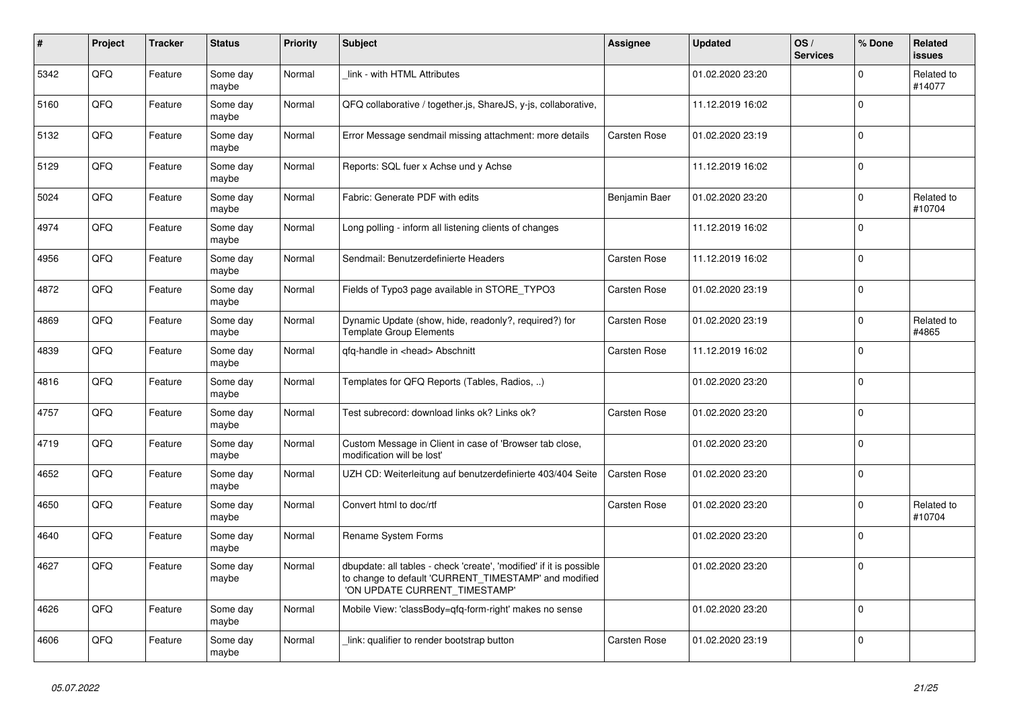| $\pmb{\sharp}$ | <b>Project</b> | <b>Tracker</b> | <b>Status</b>     | <b>Priority</b> | <b>Subject</b>                                                                                                                                                | Assignee      | <b>Updated</b>   | OS/<br><b>Services</b> | % Done      | Related<br><b>issues</b> |
|----------------|----------------|----------------|-------------------|-----------------|---------------------------------------------------------------------------------------------------------------------------------------------------------------|---------------|------------------|------------------------|-------------|--------------------------|
| 5342           | QFQ            | Feature        | Some day<br>maybe | Normal          | link - with HTML Attributes                                                                                                                                   |               | 01.02.2020 23:20 |                        | $\Omega$    | Related to<br>#14077     |
| 5160           | QFQ            | Feature        | Some day<br>maybe | Normal          | QFQ collaborative / together.js, ShareJS, y-js, collaborative,                                                                                                |               | 11.12.2019 16:02 |                        | $\mathbf 0$ |                          |
| 5132           | QFQ            | Feature        | Some day<br>maybe | Normal          | Error Message sendmail missing attachment: more details                                                                                                       | Carsten Rose  | 01.02.2020 23:19 |                        | $\Omega$    |                          |
| 5129           | QFQ            | Feature        | Some day<br>maybe | Normal          | Reports: SQL fuer x Achse und y Achse                                                                                                                         |               | 11.12.2019 16:02 |                        | $\mathbf 0$ |                          |
| 5024           | QFQ            | Feature        | Some day<br>maybe | Normal          | Fabric: Generate PDF with edits                                                                                                                               | Benjamin Baer | 01.02.2020 23:20 |                        | $\pmb{0}$   | Related to<br>#10704     |
| 4974           | QFQ            | Feature        | Some day<br>maybe | Normal          | Long polling - inform all listening clients of changes                                                                                                        |               | 11.12.2019 16:02 |                        | $\Omega$    |                          |
| 4956           | QFQ            | Feature        | Some day<br>maybe | Normal          | Sendmail: Benutzerdefinierte Headers                                                                                                                          | Carsten Rose  | 11.12.2019 16:02 |                        | $\Omega$    |                          |
| 4872           | QFQ            | Feature        | Some day<br>maybe | Normal          | Fields of Typo3 page available in STORE_TYPO3                                                                                                                 | Carsten Rose  | 01.02.2020 23:19 |                        | $\Omega$    |                          |
| 4869           | QFQ            | Feature        | Some day<br>maybe | Normal          | Dynamic Update (show, hide, readonly?, required?) for<br><b>Template Group Elements</b>                                                                       | Carsten Rose  | 01.02.2020 23:19 |                        | $\mathbf 0$ | Related to<br>#4865      |
| 4839           | QFQ            | Feature        | Some day<br>maybe | Normal          | gfg-handle in <head> Abschnitt</head>                                                                                                                         | Carsten Rose  | 11.12.2019 16:02 |                        | $\mathbf 0$ |                          |
| 4816           | QFQ            | Feature        | Some day<br>maybe | Normal          | Templates for QFQ Reports (Tables, Radios, )                                                                                                                  |               | 01.02.2020 23:20 |                        | $\mathbf 0$ |                          |
| 4757           | QFQ            | Feature        | Some day<br>maybe | Normal          | Test subrecord: download links ok? Links ok?                                                                                                                  | Carsten Rose  | 01.02.2020 23:20 |                        | $\mathbf 0$ |                          |
| 4719           | QFQ            | Feature        | Some day<br>maybe | Normal          | Custom Message in Client in case of 'Browser tab close,<br>modification will be lost'                                                                         |               | 01.02.2020 23:20 |                        | $\mathbf 0$ |                          |
| 4652           | QFQ            | Feature        | Some day<br>maybe | Normal          | UZH CD: Weiterleitung auf benutzerdefinierte 403/404 Seite                                                                                                    | Carsten Rose  | 01.02.2020 23:20 |                        | $\mathbf 0$ |                          |
| 4650           | QFQ            | Feature        | Some day<br>maybe | Normal          | Convert html to doc/rtf                                                                                                                                       | Carsten Rose  | 01.02.2020 23:20 |                        | $\mathbf 0$ | Related to<br>#10704     |
| 4640           | QFQ            | Feature        | Some day<br>maybe | Normal          | <b>Rename System Forms</b>                                                                                                                                    |               | 01.02.2020 23:20 |                        | $\mathbf 0$ |                          |
| 4627           | QFQ            | Feature        | Some day<br>maybe | Normal          | dbupdate: all tables - check 'create', 'modified' if it is possible<br>to change to default 'CURRENT_TIMESTAMP' and modified<br>'ON UPDATE CURRENT TIMESTAMP' |               | 01.02.2020 23:20 |                        | $\mathbf 0$ |                          |
| 4626           | QFQ            | Feature        | Some day<br>maybe | Normal          | Mobile View: 'classBody=qfq-form-right' makes no sense                                                                                                        |               | 01.02.2020 23:20 |                        | $\mathbf 0$ |                          |
| 4606           | QFQ            | Feature        | Some day<br>maybe | Normal          | link: qualifier to render bootstrap button                                                                                                                    | Carsten Rose  | 01.02.2020 23:19 |                        | $\mathbf 0$ |                          |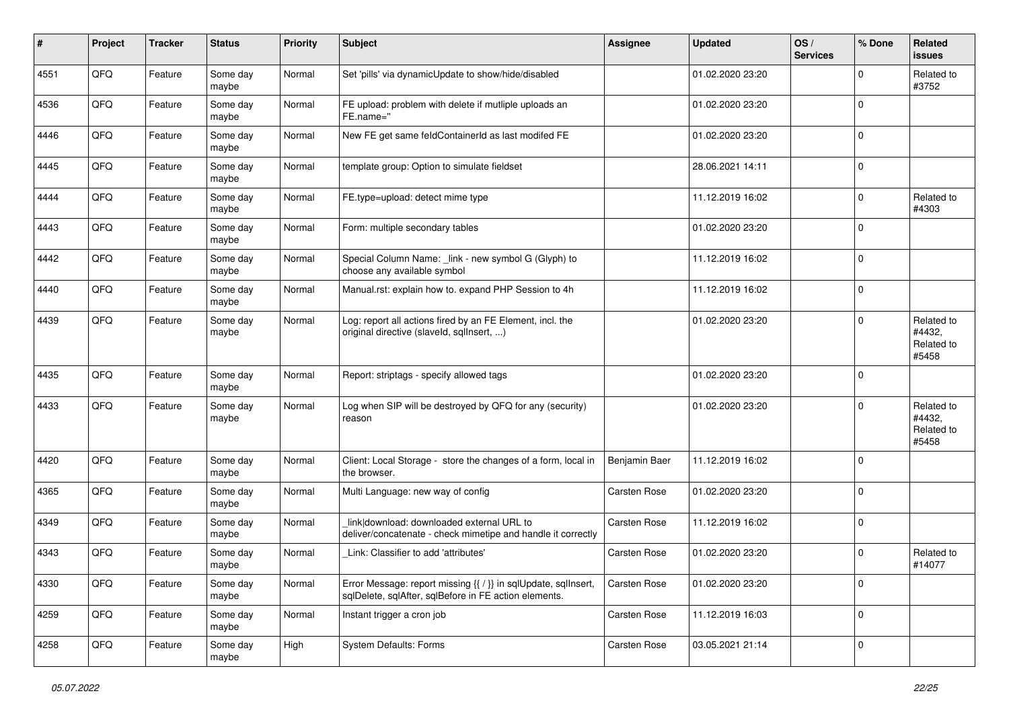| #    | Project | <b>Tracker</b> | <b>Status</b>     | <b>Priority</b> | <b>Subject</b>                                                                                                          | <b>Assignee</b> | <b>Updated</b>   | OS/<br><b>Services</b> | % Done      | Related<br>issues                           |
|------|---------|----------------|-------------------|-----------------|-------------------------------------------------------------------------------------------------------------------------|-----------------|------------------|------------------------|-------------|---------------------------------------------|
| 4551 | QFQ     | Feature        | Some day<br>maybe | Normal          | Set 'pills' via dynamicUpdate to show/hide/disabled                                                                     |                 | 01.02.2020 23:20 |                        | $\mathbf 0$ | Related to<br>#3752                         |
| 4536 | QFQ     | Feature        | Some day<br>maybe | Normal          | FE upload: problem with delete if mutliple uploads an<br>FE.name="                                                      |                 | 01.02.2020 23:20 |                        | $\mathbf 0$ |                                             |
| 4446 | QFQ     | Feature        | Some day<br>maybe | Normal          | New FE get same feldContainerId as last modifed FE                                                                      |                 | 01.02.2020 23:20 |                        | 0           |                                             |
| 4445 | QFQ     | Feature        | Some day<br>maybe | Normal          | template group: Option to simulate fieldset                                                                             |                 | 28.06.2021 14:11 |                        | 0           |                                             |
| 4444 | QFQ     | Feature        | Some day<br>maybe | Normal          | FE.type=upload: detect mime type                                                                                        |                 | 11.12.2019 16:02 |                        | $\mathbf 0$ | Related to<br>#4303                         |
| 4443 | QFQ     | Feature        | Some day<br>maybe | Normal          | Form: multiple secondary tables                                                                                         |                 | 01.02.2020 23:20 |                        | 0           |                                             |
| 4442 | QFQ     | Feature        | Some day<br>maybe | Normal          | Special Column Name: _link - new symbol G (Glyph) to<br>choose any available symbol                                     |                 | 11.12.2019 16:02 |                        | $\Omega$    |                                             |
| 4440 | QFQ     | Feature        | Some day<br>maybe | Normal          | Manual.rst: explain how to. expand PHP Session to 4h                                                                    |                 | 11.12.2019 16:02 |                        | 0           |                                             |
| 4439 | QFQ     | Feature        | Some day<br>maybe | Normal          | Log: report all actions fired by an FE Element, incl. the<br>original directive (slaveld, sqllnsert, )                  |                 | 01.02.2020 23:20 |                        | $\Omega$    | Related to<br>#4432,<br>Related to<br>#5458 |
| 4435 | QFQ     | Feature        | Some day<br>maybe | Normal          | Report: striptags - specify allowed tags                                                                                |                 | 01.02.2020 23:20 |                        | $\mathbf 0$ |                                             |
| 4433 | QFQ     | Feature        | Some day<br>maybe | Normal          | Log when SIP will be destroyed by QFQ for any (security)<br>reason                                                      |                 | 01.02.2020 23:20 |                        | $\Omega$    | Related to<br>#4432,<br>Related to<br>#5458 |
| 4420 | QFQ     | Feature        | Some day<br>maybe | Normal          | Client: Local Storage - store the changes of a form, local in<br>the browser.                                           | Benjamin Baer   | 11.12.2019 16:02 |                        | $\mathbf 0$ |                                             |
| 4365 | QFQ     | Feature        | Some day<br>maybe | Normal          | Multi Language: new way of config                                                                                       | Carsten Rose    | 01.02.2020 23:20 |                        | $\mathbf 0$ |                                             |
| 4349 | QFQ     | Feature        | Some day<br>maybe | Normal          | link download: downloaded external URL to<br>deliver/concatenate - check mimetipe and handle it correctly               | Carsten Rose    | 11.12.2019 16:02 |                        | $\mathbf 0$ |                                             |
| 4343 | QFQ     | Feature        | Some day<br>maybe | Normal          | Link: Classifier to add 'attributes'                                                                                    | Carsten Rose    | 01.02.2020 23:20 |                        | $\Omega$    | Related to<br>#14077                        |
| 4330 | QFQ     | Feature        | Some day<br>maybe | Normal          | Error Message: report missing {{ / }} in sqlUpdate, sqlInsert,<br>sqlDelete, sqlAfter, sqlBefore in FE action elements. | Carsten Rose    | 01.02.2020 23:20 |                        | $\pmb{0}$   |                                             |
| 4259 | QFQ     | Feature        | Some day<br>maybe | Normal          | Instant trigger a cron job                                                                                              | Carsten Rose    | 11.12.2019 16:03 |                        | $\pmb{0}$   |                                             |
| 4258 | QFQ     | Feature        | Some day<br>maybe | High            | <b>System Defaults: Forms</b>                                                                                           | Carsten Rose    | 03.05.2021 21:14 |                        | $\pmb{0}$   |                                             |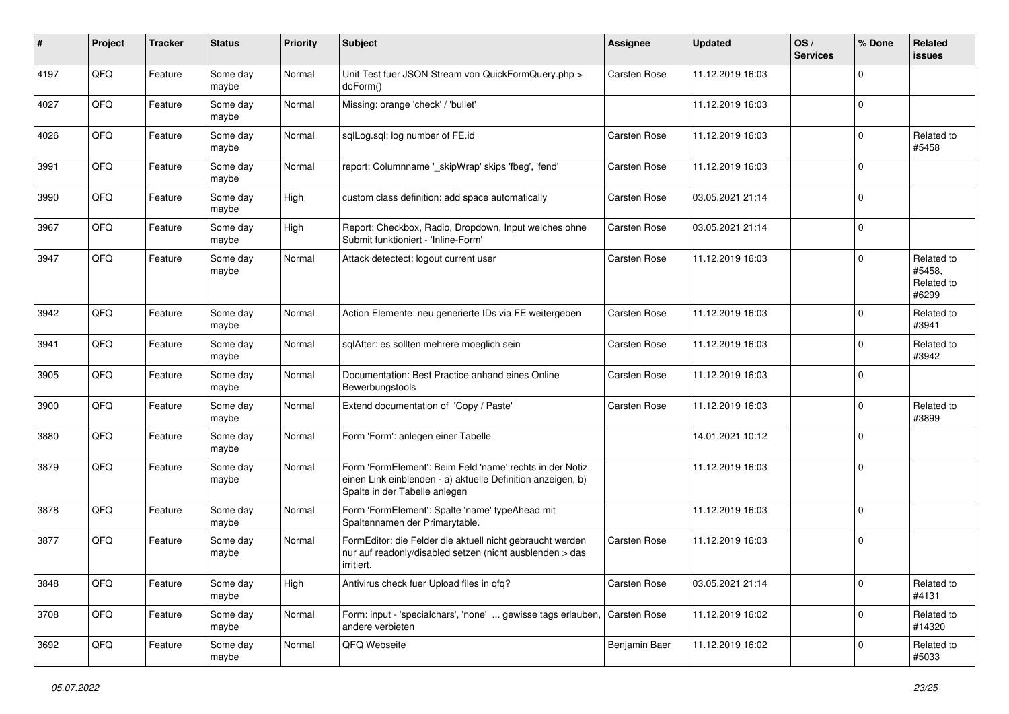| #    | Project | <b>Tracker</b> | <b>Status</b>     | <b>Priority</b> | Subject                                                                                                                                                  | <b>Assignee</b> | <b>Updated</b>   | OS/<br><b>Services</b> | % Done      | Related<br>issues                           |
|------|---------|----------------|-------------------|-----------------|----------------------------------------------------------------------------------------------------------------------------------------------------------|-----------------|------------------|------------------------|-------------|---------------------------------------------|
| 4197 | QFQ     | Feature        | Some day<br>maybe | Normal          | Unit Test fuer JSON Stream von QuickFormQuery.php ><br>doForm()                                                                                          | Carsten Rose    | 11.12.2019 16:03 |                        | 0           |                                             |
| 4027 | QFQ     | Feature        | Some day<br>maybe | Normal          | Missing: orange 'check' / 'bullet'                                                                                                                       |                 | 11.12.2019 16:03 |                        | $\Omega$    |                                             |
| 4026 | QFQ     | Feature        | Some day<br>maybe | Normal          | sqlLog.sql: log number of FE.id                                                                                                                          | Carsten Rose    | 11.12.2019 16:03 |                        | $\Omega$    | Related to<br>#5458                         |
| 3991 | QFQ     | Feature        | Some day<br>maybe | Normal          | report: Columnname '_skipWrap' skips 'fbeg', 'fend'                                                                                                      | Carsten Rose    | 11.12.2019 16:03 |                        | $\Omega$    |                                             |
| 3990 | QFQ     | Feature        | Some day<br>maybe | High            | custom class definition: add space automatically                                                                                                         | Carsten Rose    | 03.05.2021 21:14 |                        | $\Omega$    |                                             |
| 3967 | QFQ     | Feature        | Some day<br>maybe | High            | Report: Checkbox, Radio, Dropdown, Input welches ohne<br>Submit funktioniert - 'Inline-Form'                                                             | Carsten Rose    | 03.05.2021 21:14 |                        | 0           |                                             |
| 3947 | QFQ     | Feature        | Some day<br>maybe | Normal          | Attack detectect: logout current user                                                                                                                    | Carsten Rose    | 11.12.2019 16:03 |                        | $\Omega$    | Related to<br>#5458,<br>Related to<br>#6299 |
| 3942 | QFQ     | Feature        | Some day<br>maybe | Normal          | Action Elemente: neu generierte IDs via FE weitergeben                                                                                                   | Carsten Rose    | 11.12.2019 16:03 |                        | $\Omega$    | Related to<br>#3941                         |
| 3941 | QFQ     | Feature        | Some day<br>maybe | Normal          | sqlAfter: es sollten mehrere moeglich sein                                                                                                               | Carsten Rose    | 11.12.2019 16:03 |                        | $\Omega$    | Related to<br>#3942                         |
| 3905 | QFQ     | Feature        | Some day<br>maybe | Normal          | Documentation: Best Practice anhand eines Online<br>Bewerbungstools                                                                                      | Carsten Rose    | 11.12.2019 16:03 |                        | 0           |                                             |
| 3900 | QFQ     | Feature        | Some day<br>maybe | Normal          | Extend documentation of 'Copy / Paste'                                                                                                                   | Carsten Rose    | 11.12.2019 16:03 |                        | $\Omega$    | Related to<br>#3899                         |
| 3880 | QFQ     | Feature        | Some day<br>maybe | Normal          | Form 'Form': anlegen einer Tabelle                                                                                                                       |                 | 14.01.2021 10:12 |                        | $\Omega$    |                                             |
| 3879 | QFQ     | Feature        | Some day<br>maybe | Normal          | Form 'FormElement': Beim Feld 'name' rechts in der Notiz<br>einen Link einblenden - a) aktuelle Definition anzeigen, b)<br>Spalte in der Tabelle anlegen |                 | 11.12.2019 16:03 |                        | $\Omega$    |                                             |
| 3878 | QFQ     | Feature        | Some day<br>maybe | Normal          | Form 'FormElement': Spalte 'name' typeAhead mit<br>Spaltennamen der Primarytable.                                                                        |                 | 11.12.2019 16:03 |                        | $\Omega$    |                                             |
| 3877 | QFQ     | Feature        | Some day<br>maybe | Normal          | FormEditor: die Felder die aktuell nicht gebraucht werden<br>nur auf readonly/disabled setzen (nicht ausblenden > das<br>irritiert.                      | Carsten Rose    | 11.12.2019 16:03 |                        | $\Omega$    |                                             |
| 3848 | QFQ     | Feature        | Some day<br>maybe | High            | Antivirus check fuer Upload files in qfq?                                                                                                                | Carsten Rose    | 03.05.2021 21:14 |                        | $\mathbf 0$ | Related to<br>#4131                         |
| 3708 | QFQ     | Feature        | Some day<br>maybe | Normal          | Form: input - 'specialchars', 'none'  gewisse tags erlauben,<br>andere verbieten                                                                         | Carsten Rose    | 11.12.2019 16:02 |                        | $\pmb{0}$   | Related to<br>#14320                        |
| 3692 | QFG     | Feature        | Some day<br>maybe | Normal          | QFQ Webseite                                                                                                                                             | Benjamin Baer   | 11.12.2019 16:02 |                        | 0           | Related to<br>#5033                         |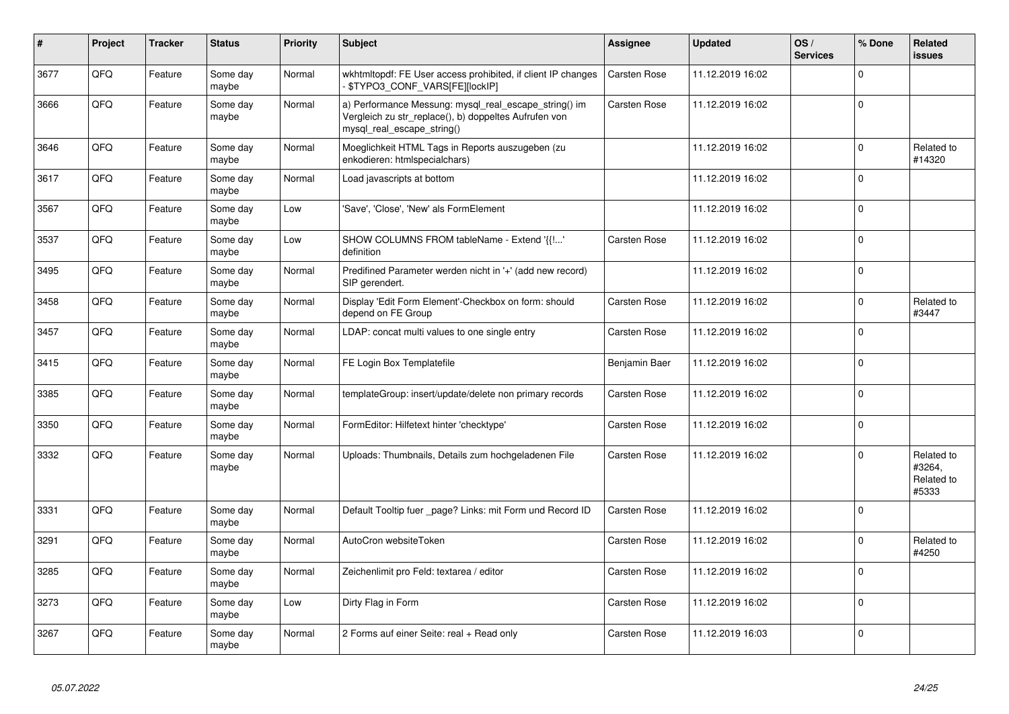| #    | Project | <b>Tracker</b> | <b>Status</b>     | <b>Priority</b> | <b>Subject</b>                                                                                                                               | Assignee            | <b>Updated</b>   | OS/<br><b>Services</b> | % Done      | Related<br><b>issues</b>                    |
|------|---------|----------------|-------------------|-----------------|----------------------------------------------------------------------------------------------------------------------------------------------|---------------------|------------------|------------------------|-------------|---------------------------------------------|
| 3677 | QFQ     | Feature        | Some day<br>maybe | Normal          | wkhtmitopdf: FE User access prohibited, if client IP changes<br>- \$TYPO3_CONF_VARS[FE][lockIP]                                              | <b>Carsten Rose</b> | 11.12.2019 16:02 |                        | $\Omega$    |                                             |
| 3666 | QFQ     | Feature        | Some day<br>maybe | Normal          | a) Performance Messung: mysql_real_escape_string() im<br>Vergleich zu str replace(), b) doppeltes Aufrufen von<br>mysql_real_escape_string() | <b>Carsten Rose</b> | 11.12.2019 16:02 |                        | $\mathbf 0$ |                                             |
| 3646 | QFQ     | Feature        | Some day<br>maybe | Normal          | Moeglichkeit HTML Tags in Reports auszugeben (zu<br>enkodieren: htmlspecialchars)                                                            |                     | 11.12.2019 16:02 |                        | $\mathbf 0$ | Related to<br>#14320                        |
| 3617 | QFQ     | Feature        | Some day<br>maybe | Normal          | Load javascripts at bottom                                                                                                                   |                     | 11.12.2019 16:02 |                        | $\mathbf 0$ |                                             |
| 3567 | QFQ     | Feature        | Some day<br>maybe | Low             | 'Save', 'Close', 'New' als FormElement                                                                                                       |                     | 11.12.2019 16:02 |                        | $\Omega$    |                                             |
| 3537 | QFQ     | Feature        | Some day<br>maybe | Low             | SHOW COLUMNS FROM tableName - Extend '{{!'<br>definition                                                                                     | Carsten Rose        | 11.12.2019 16:02 |                        | $\mathbf 0$ |                                             |
| 3495 | QFQ     | Feature        | Some day<br>maybe | Normal          | Predifined Parameter werden nicht in '+' (add new record)<br>SIP gerendert.                                                                  |                     | 11.12.2019 16:02 |                        | $\mathbf 0$ |                                             |
| 3458 | QFQ     | Feature        | Some day<br>maybe | Normal          | Display 'Edit Form Element'-Checkbox on form: should<br>depend on FE Group                                                                   | Carsten Rose        | 11.12.2019 16:02 |                        | 0           | Related to<br>#3447                         |
| 3457 | QFQ     | Feature        | Some day<br>maybe | Normal          | LDAP: concat multi values to one single entry                                                                                                | Carsten Rose        | 11.12.2019 16:02 |                        | $\mathbf 0$ |                                             |
| 3415 | QFQ     | Feature        | Some day<br>maybe | Normal          | FE Login Box Templatefile                                                                                                                    | Benjamin Baer       | 11.12.2019 16:02 |                        | $\mathbf 0$ |                                             |
| 3385 | QFQ     | Feature        | Some day<br>maybe | Normal          | templateGroup: insert/update/delete non primary records                                                                                      | Carsten Rose        | 11.12.2019 16:02 |                        | $\pmb{0}$   |                                             |
| 3350 | QFQ     | Feature        | Some day<br>maybe | Normal          | FormEditor: Hilfetext hinter 'checktype'                                                                                                     | Carsten Rose        | 11.12.2019 16:02 |                        | $\mathbf 0$ |                                             |
| 3332 | QFQ     | Feature        | Some day<br>maybe | Normal          | Uploads: Thumbnails, Details zum hochgeladenen File                                                                                          | Carsten Rose        | 11.12.2019 16:02 |                        | $\mathbf 0$ | Related to<br>#3264,<br>Related to<br>#5333 |
| 3331 | QFQ     | Feature        | Some day<br>maybe | Normal          | Default Tooltip fuer _page? Links: mit Form und Record ID                                                                                    | Carsten Rose        | 11.12.2019 16:02 |                        | $\mathbf 0$ |                                             |
| 3291 | QFQ     | Feature        | Some day<br>maybe | Normal          | AutoCron websiteToken                                                                                                                        | <b>Carsten Rose</b> | 11.12.2019 16:02 |                        | $\Omega$    | Related to<br>#4250                         |
| 3285 | QFQ     | Feature        | Some day<br>maybe | Normal          | Zeichenlimit pro Feld: textarea / editor                                                                                                     | Carsten Rose        | 11.12.2019 16:02 |                        | $\mathbf 0$ |                                             |
| 3273 | QFQ     | Feature        | Some day<br>maybe | Low             | Dirty Flag in Form                                                                                                                           | Carsten Rose        | 11.12.2019 16:02 |                        | $\pmb{0}$   |                                             |
| 3267 | QFQ     | Feature        | Some day<br>maybe | Normal          | 2 Forms auf einer Seite: real + Read only                                                                                                    | Carsten Rose        | 11.12.2019 16:03 |                        | $\mathbf 0$ |                                             |